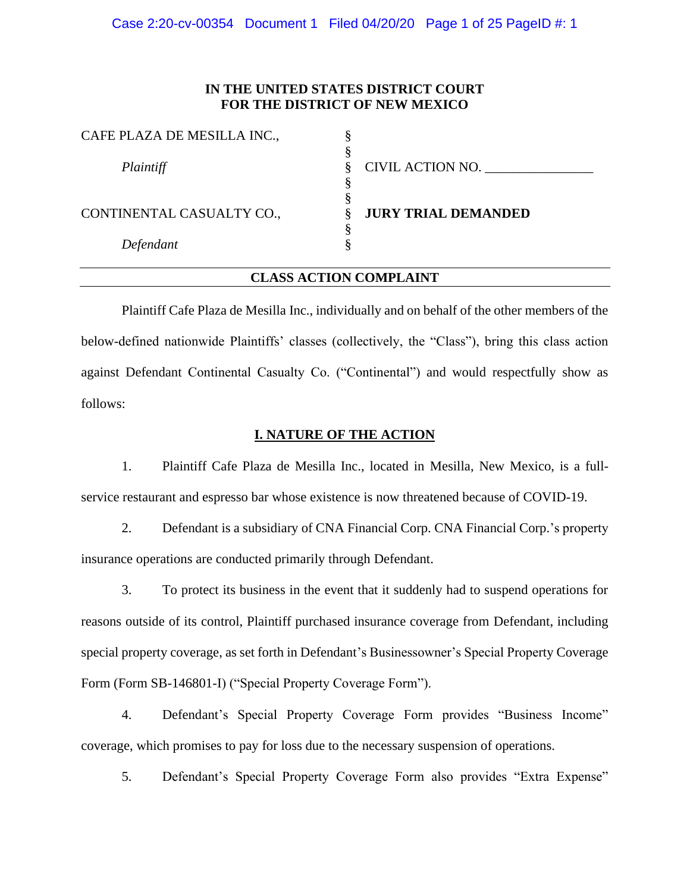Case 2:20-cv-00354 Document 1 Filed 04/20/20 Page 1 of 25 PageID #: 1

## **IN THE UNITED STATES DISTRICT COURT FOR THE DISTRICT OF NEW MEXICO**

| CAFE PLAZA DE MESILLA INC., |                            |
|-----------------------------|----------------------------|
|                             |                            |
| Plaintiff                   | CIVIL ACTION NO. __        |
|                             |                            |
|                             |                            |
| CONTINENTAL CASUALTY CO.,   | <b>JURY TRIAL DEMANDED</b> |
|                             |                            |
| Defendant                   |                            |

## **CLASS ACTION COMPLAINT**

Plaintiff Cafe Plaza de Mesilla Inc., individually and on behalf of the other members of the below-defined nationwide Plaintiffs' classes (collectively, the "Class"), bring this class action against Defendant Continental Casualty Co. ("Continental") and would respectfully show as follows:

#### **I. NATURE OF THE ACTION**

1. Plaintiff Cafe Plaza de Mesilla Inc., located in Mesilla, New Mexico, is a fullservice restaurant and espresso bar whose existence is now threatened because of COVID-19.

2. Defendant is a subsidiary of CNA Financial Corp. CNA Financial Corp.'s property insurance operations are conducted primarily through Defendant.

3. To protect its business in the event that it suddenly had to suspend operations for reasons outside of its control, Plaintiff purchased insurance coverage from Defendant, including special property coverage, as set forth in Defendant's Businessowner's Special Property Coverage Form (Form SB-146801-I) ("Special Property Coverage Form").

4. Defendant's Special Property Coverage Form provides "Business Income" coverage, which promises to pay for loss due to the necessary suspension of operations.

5. Defendant's Special Property Coverage Form also provides "Extra Expense"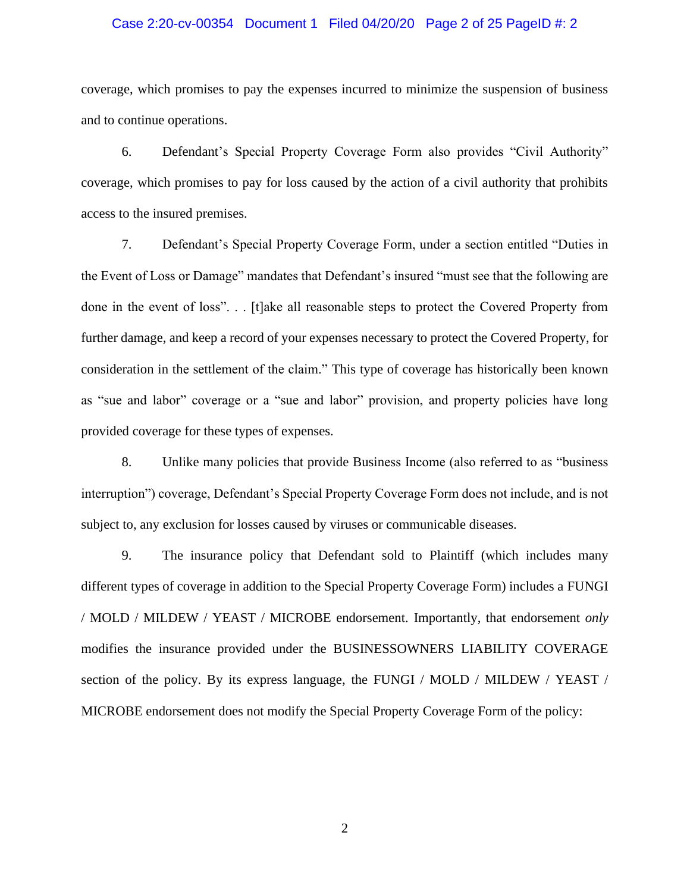#### Case 2:20-cv-00354 Document 1 Filed 04/20/20 Page 2 of 25 PageID #: 2

coverage, which promises to pay the expenses incurred to minimize the suspension of business and to continue operations.

6. Defendant's Special Property Coverage Form also provides "Civil Authority" coverage, which promises to pay for loss caused by the action of a civil authority that prohibits access to the insured premises.

7. Defendant's Special Property Coverage Form, under a section entitled "Duties in the Event of Loss or Damage" mandates that Defendant's insured "must see that the following are done in the event of loss". . . [t]ake all reasonable steps to protect the Covered Property from further damage, and keep a record of your expenses necessary to protect the Covered Property, for consideration in the settlement of the claim." This type of coverage has historically been known as "sue and labor" coverage or a "sue and labor" provision, and property policies have long provided coverage for these types of expenses.

8. Unlike many policies that provide Business Income (also referred to as "business interruption") coverage, Defendant's Special Property Coverage Form does not include, and is not subject to, any exclusion for losses caused by viruses or communicable diseases.

9. The insurance policy that Defendant sold to Plaintiff (which includes many different types of coverage in addition to the Special Property Coverage Form) includes a FUNGI / MOLD / MILDEW / YEAST / MICROBE endorsement. Importantly, that endorsement *only*  modifies the insurance provided under the BUSINESSOWNERS LIABILITY COVERAGE section of the policy. By its express language, the FUNGI / MOLD / MILDEW / YEAST / MICROBE endorsement does not modify the Special Property Coverage Form of the policy: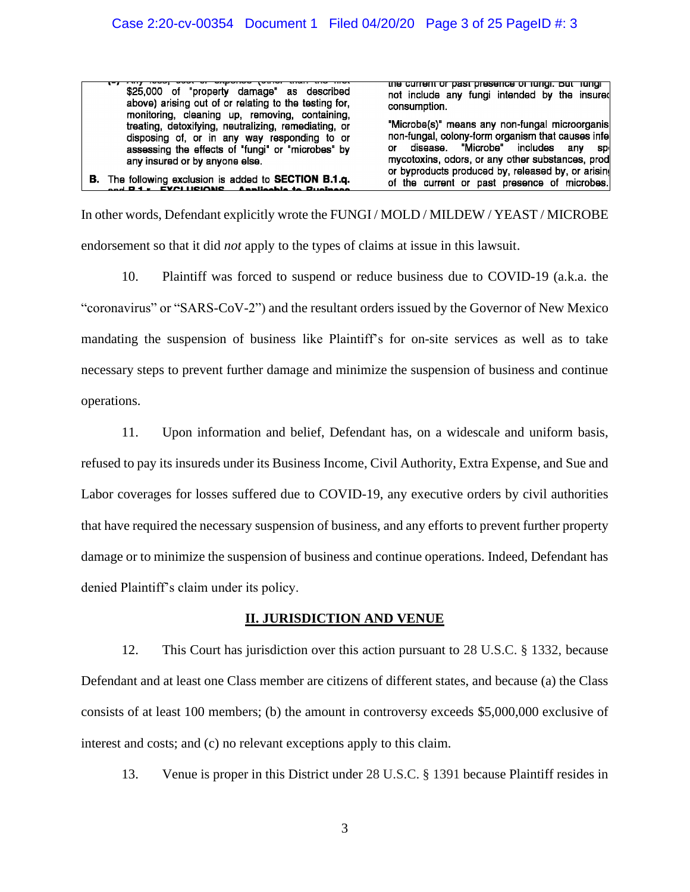\$25,000 of "property damage" as described above) arising out of or relating to the testing for, monitoring, cleaning up, removing, containing, treating, detoxifying, neutralizing, remediating, or disposing of, or in any way responding to or<br>assessing the effects of "fungi" or "microbes" by any insured or by anyone else.

**B.** The following exclusion is added to **SECTION B.1.q.**<br>and **P.1.** EVCLUSIONS Applicable to Punipege.

<u>the current or past presence or rungi. Dut fungi </u> not include any fungi intended by the insured consumption.

"Microbe(s)" means any non-fungal microorganis non-fungal, colony-form organism that causes infe disease. "Microbe" includes any or sp mycotoxins, odors, or any other substances, prod or byproducts produced by, released by, or arising of the current or past presence of microbes.

In other words, Defendant explicitly wrote the FUNGI / MOLD / MILDEW / YEAST / MICROBE endorsement so that it did *not* apply to the types of claims at issue in this lawsuit.

10. Plaintiff was forced to suspend or reduce business due to COVID-19 (a.k.a. the "coronavirus" or "SARS-CoV-2") and the resultant orders issued by the Governor of New Mexico mandating the suspension of business like Plaintiff's for on-site services as well as to take necessary steps to prevent further damage and minimize the suspension of business and continue operations.

11. Upon information and belief, Defendant has, on a widescale and uniform basis, refused to pay its insureds under its Business Income, Civil Authority, Extra Expense, and Sue and Labor coverages for losses suffered due to COVID-19, any executive orders by civil authorities that have required the necessary suspension of business, and any efforts to prevent further property damage or to minimize the suspension of business and continue operations. Indeed, Defendant has denied Plaintiff's claim under its policy.

# **II. JURISDICTION AND VENUE**

12. This Court has jurisdiction over this action pursuant to 28 U.S.C. § 1332, because Defendant and at least one Class member are citizens of different states, and because (a) the Class consists of at least 100 members; (b) the amount in controversy exceeds \$5,000,000 exclusive of interest and costs; and (c) no relevant exceptions apply to this claim.

13. Venue is proper in this District under 28 U.S.C. § 1391 because Plaintiff resides in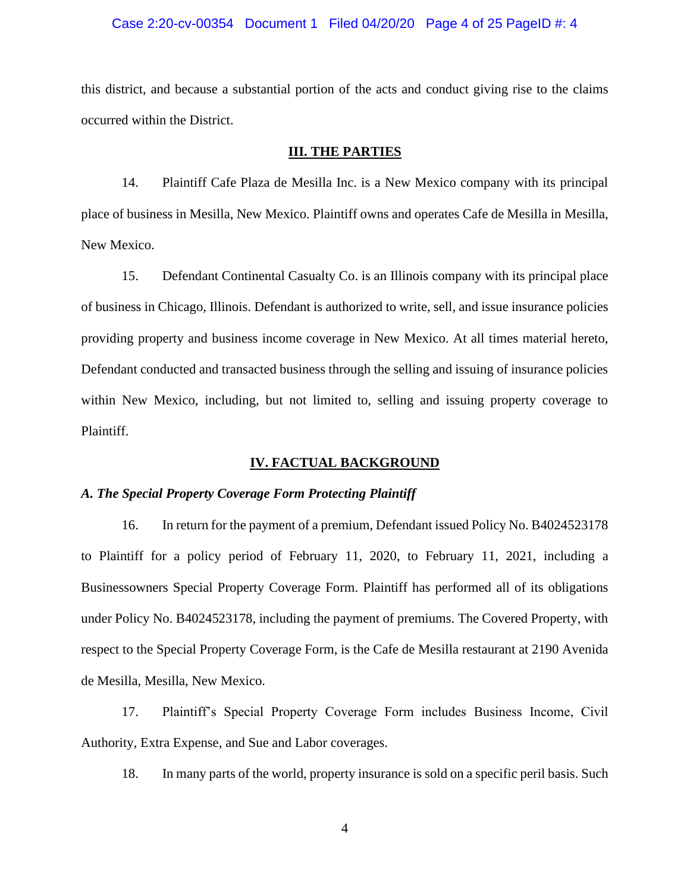#### Case 2:20-cv-00354 Document 1 Filed 04/20/20 Page 4 of 25 PageID #: 4

this district, and because a substantial portion of the acts and conduct giving rise to the claims occurred within the District.

#### **III. THE PARTIES**

14. Plaintiff Cafe Plaza de Mesilla Inc. is a New Mexico company with its principal place of business in Mesilla, New Mexico. Plaintiff owns and operates Cafe de Mesilla in Mesilla, New Mexico.

15. Defendant Continental Casualty Co. is an Illinois company with its principal place of business in Chicago, Illinois. Defendant is authorized to write, sell, and issue insurance policies providing property and business income coverage in New Mexico. At all times material hereto, Defendant conducted and transacted business through the selling and issuing of insurance policies within New Mexico, including, but not limited to, selling and issuing property coverage to Plaintiff.

#### **IV. FACTUAL BACKGROUND**

#### *A. The Special Property Coverage Form Protecting Plaintiff*

16. In return for the payment of a premium, Defendant issued Policy No. B4024523178 to Plaintiff for a policy period of February 11, 2020, to February 11, 2021, including a Businessowners Special Property Coverage Form. Plaintiff has performed all of its obligations under Policy No. B4024523178, including the payment of premiums. The Covered Property, with respect to the Special Property Coverage Form, is the Cafe de Mesilla restaurant at 2190 Avenida de Mesilla, Mesilla, New Mexico.

17. Plaintiff's Special Property Coverage Form includes Business Income, Civil Authority, Extra Expense, and Sue and Labor coverages.

18. In many parts of the world, property insurance is sold on a specific peril basis. Such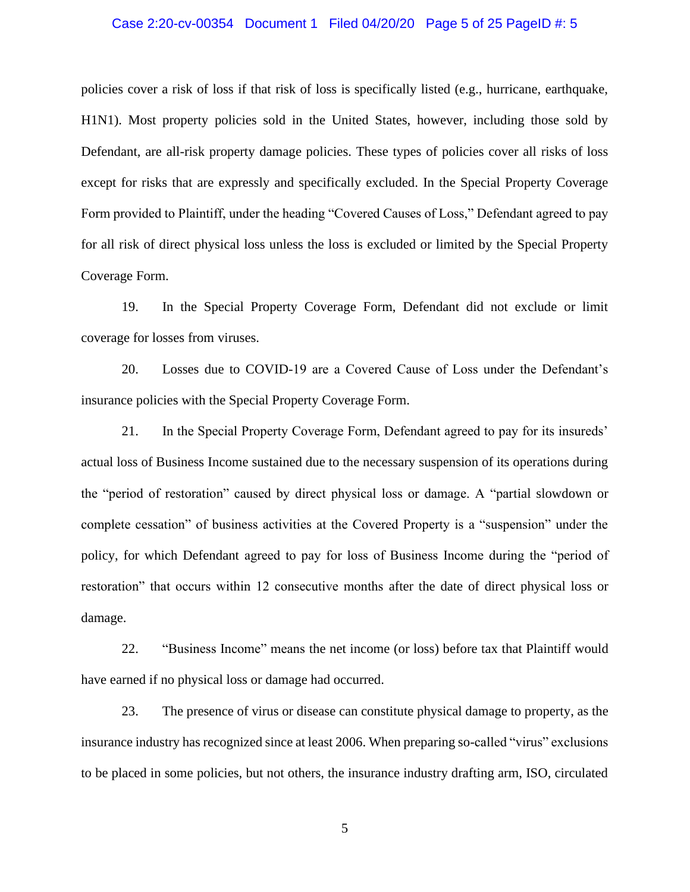#### Case 2:20-cv-00354 Document 1 Filed 04/20/20 Page 5 of 25 PageID #: 5

policies cover a risk of loss if that risk of loss is specifically listed (e.g., hurricane, earthquake, H1N1). Most property policies sold in the United States, however, including those sold by Defendant, are all-risk property damage policies. These types of policies cover all risks of loss except for risks that are expressly and specifically excluded. In the Special Property Coverage Form provided to Plaintiff, under the heading "Covered Causes of Loss," Defendant agreed to pay for all risk of direct physical loss unless the loss is excluded or limited by the Special Property Coverage Form.

19. In the Special Property Coverage Form, Defendant did not exclude or limit coverage for losses from viruses.

20. Losses due to COVID-19 are a Covered Cause of Loss under the Defendant's insurance policies with the Special Property Coverage Form.

21. In the Special Property Coverage Form, Defendant agreed to pay for its insureds' actual loss of Business Income sustained due to the necessary suspension of its operations during the "period of restoration" caused by direct physical loss or damage. A "partial slowdown or complete cessation" of business activities at the Covered Property is a "suspension" under the policy, for which Defendant agreed to pay for loss of Business Income during the "period of restoration" that occurs within 12 consecutive months after the date of direct physical loss or damage.

22. "Business Income" means the net income (or loss) before tax that Plaintiff would have earned if no physical loss or damage had occurred.

23. The presence of virus or disease can constitute physical damage to property, as the insurance industry has recognized since at least 2006. When preparing so-called "virus" exclusions to be placed in some policies, but not others, the insurance industry drafting arm, ISO, circulated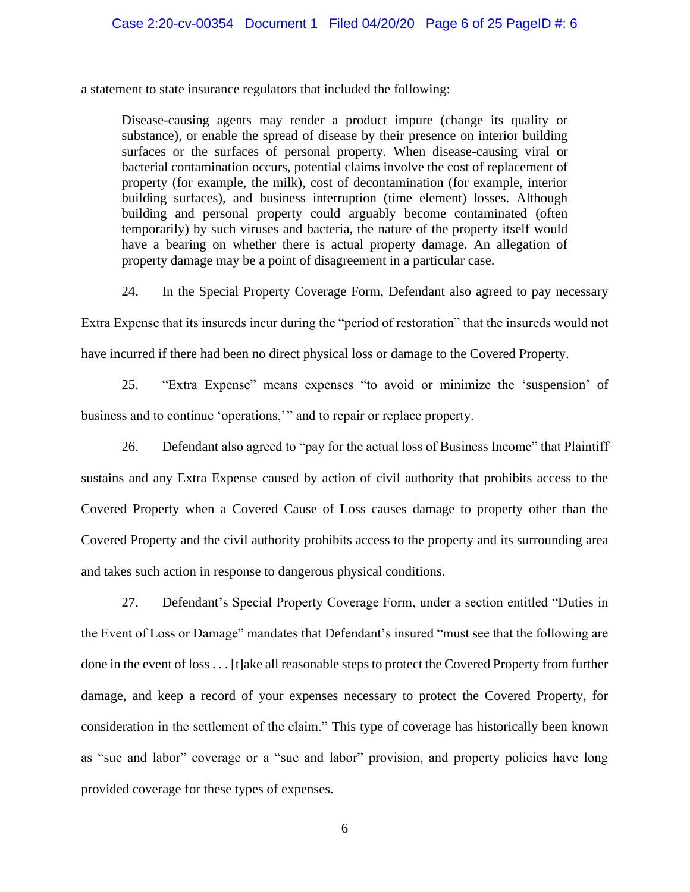a statement to state insurance regulators that included the following:

Disease-causing agents may render a product impure (change its quality or substance), or enable the spread of disease by their presence on interior building surfaces or the surfaces of personal property. When disease-causing viral or bacterial contamination occurs, potential claims involve the cost of replacement of property (for example, the milk), cost of decontamination (for example, interior building surfaces), and business interruption (time element) losses. Although building and personal property could arguably become contaminated (often temporarily) by such viruses and bacteria, the nature of the property itself would have a bearing on whether there is actual property damage. An allegation of property damage may be a point of disagreement in a particular case.

24. In the Special Property Coverage Form, Defendant also agreed to pay necessary

Extra Expense that its insureds incur during the "period of restoration" that the insureds would not

have incurred if there had been no direct physical loss or damage to the Covered Property.

25. "Extra Expense" means expenses "to avoid or minimize the 'suspension' of business and to continue 'operations,'" and to repair or replace property.

26. Defendant also agreed to "pay for the actual loss of Business Income" that Plaintiff sustains and any Extra Expense caused by action of civil authority that prohibits access to the Covered Property when a Covered Cause of Loss causes damage to property other than the Covered Property and the civil authority prohibits access to the property and its surrounding area and takes such action in response to dangerous physical conditions.

27. Defendant's Special Property Coverage Form, under a section entitled "Duties in the Event of Loss or Damage" mandates that Defendant's insured "must see that the following are done in the event of loss . . . [t]ake all reasonable steps to protect the Covered Property from further damage, and keep a record of your expenses necessary to protect the Covered Property, for consideration in the settlement of the claim." This type of coverage has historically been known as "sue and labor" coverage or a "sue and labor" provision, and property policies have long provided coverage for these types of expenses.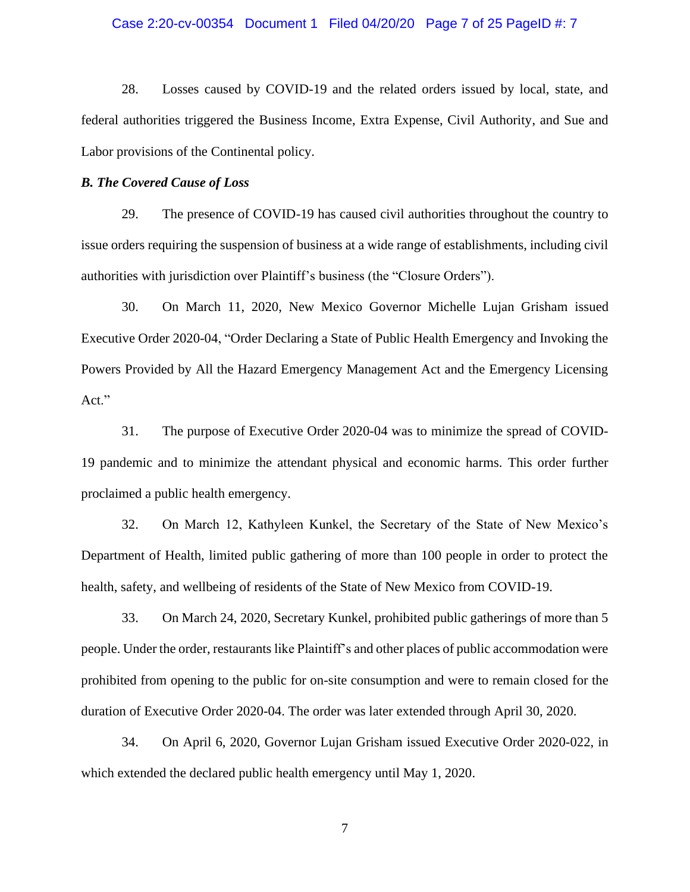#### Case 2:20-cv-00354 Document 1 Filed 04/20/20 Page 7 of 25 PageID #: 7

28. Losses caused by COVID-19 and the related orders issued by local, state, and federal authorities triggered the Business Income, Extra Expense, Civil Authority, and Sue and Labor provisions of the Continental policy.

#### *B. The Covered Cause of Loss*

29. The presence of COVID-19 has caused civil authorities throughout the country to issue orders requiring the suspension of business at a wide range of establishments, including civil authorities with jurisdiction over Plaintiff's business (the "Closure Orders").

30. On March 11, 2020, New Mexico Governor Michelle Lujan Grisham issued Executive Order 2020-04, "Order Declaring a State of Public Health Emergency and Invoking the Powers Provided by All the Hazard Emergency Management Act and the Emergency Licensing Act."

31. The purpose of Executive Order 2020-04 was to minimize the spread of COVID-19 pandemic and to minimize the attendant physical and economic harms. This order further proclaimed a public health emergency.

32. On March 12, Kathyleen Kunkel, the Secretary of the State of New Mexico's Department of Health, limited public gathering of more than 100 people in order to protect the health, safety, and wellbeing of residents of the State of New Mexico from COVID-19.

33. On March 24, 2020, Secretary Kunkel, prohibited public gatherings of more than 5 people. Under the order, restaurants like Plaintiff's and other places of public accommodation were prohibited from opening to the public for on-site consumption and were to remain closed for the duration of Executive Order 2020-04. The order was later extended through April 30, 2020.

34. On April 6, 2020, Governor Lujan Grisham issued Executive Order 2020-022, in which extended the declared public health emergency until May 1, 2020.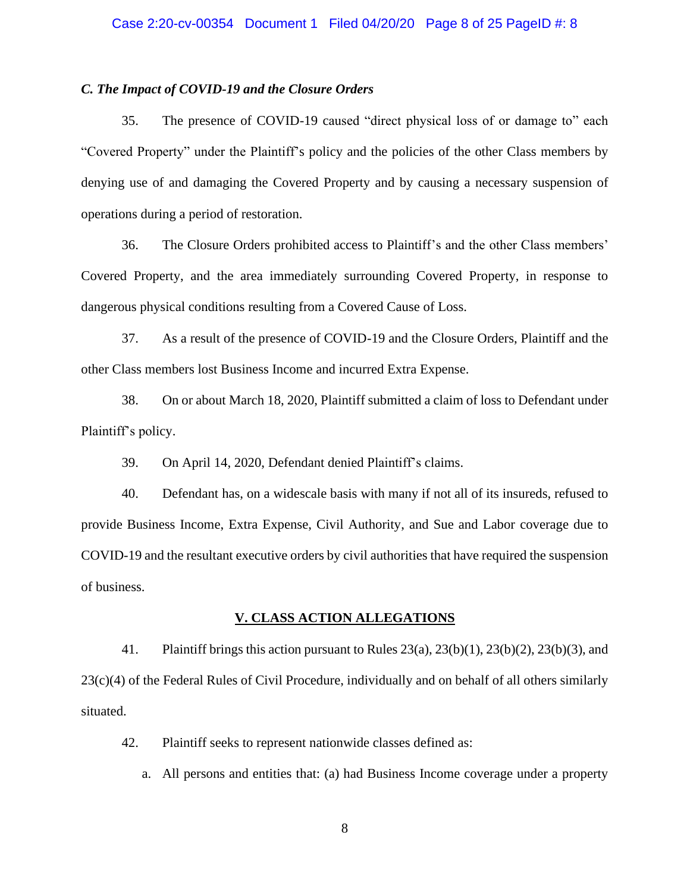#### Case 2:20-cv-00354 Document 1 Filed 04/20/20 Page 8 of 25 PageID #: 8

#### *C. The Impact of COVID-19 and the Closure Orders*

35. The presence of COVID-19 caused "direct physical loss of or damage to" each "Covered Property" under the Plaintiff's policy and the policies of the other Class members by denying use of and damaging the Covered Property and by causing a necessary suspension of operations during a period of restoration.

36. The Closure Orders prohibited access to Plaintiff's and the other Class members' Covered Property, and the area immediately surrounding Covered Property, in response to dangerous physical conditions resulting from a Covered Cause of Loss.

37. As a result of the presence of COVID-19 and the Closure Orders, Plaintiff and the other Class members lost Business Income and incurred Extra Expense.

38. On or about March 18, 2020, Plaintiff submitted a claim of loss to Defendant under Plaintiff's policy.

39. On April 14, 2020, Defendant denied Plaintiff's claims.

40. Defendant has, on a widescale basis with many if not all of its insureds, refused to provide Business Income, Extra Expense, Civil Authority, and Sue and Labor coverage due to COVID-19 and the resultant executive orders by civil authorities that have required the suspension of business.

#### **V. CLASS ACTION ALLEGATIONS**

41. Plaintiff brings this action pursuant to Rules 23(a), 23(b)(1), 23(b)(2), 23(b)(3), and 23(c)(4) of the Federal Rules of Civil Procedure, individually and on behalf of all others similarly situated.

42. Plaintiff seeks to represent nationwide classes defined as:

a. All persons and entities that: (a) had Business Income coverage under a property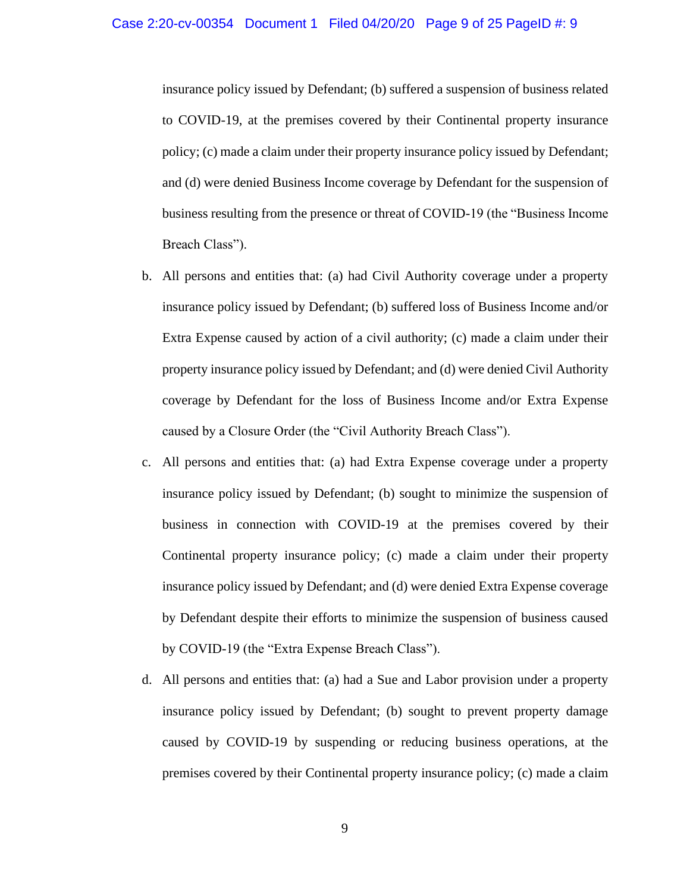insurance policy issued by Defendant; (b) suffered a suspension of business related to COVID-19, at the premises covered by their Continental property insurance policy; (c) made a claim under their property insurance policy issued by Defendant; and (d) were denied Business Income coverage by Defendant for the suspension of business resulting from the presence or threat of COVID-19 (the "Business Income Breach Class").

- b. All persons and entities that: (a) had Civil Authority coverage under a property insurance policy issued by Defendant; (b) suffered loss of Business Income and/or Extra Expense caused by action of a civil authority; (c) made a claim under their property insurance policy issued by Defendant; and (d) were denied Civil Authority coverage by Defendant for the loss of Business Income and/or Extra Expense caused by a Closure Order (the "Civil Authority Breach Class").
- c. All persons and entities that: (a) had Extra Expense coverage under a property insurance policy issued by Defendant; (b) sought to minimize the suspension of business in connection with COVID-19 at the premises covered by their Continental property insurance policy; (c) made a claim under their property insurance policy issued by Defendant; and (d) were denied Extra Expense coverage by Defendant despite their efforts to minimize the suspension of business caused by COVID-19 (the "Extra Expense Breach Class").
- d. All persons and entities that: (a) had a Sue and Labor provision under a property insurance policy issued by Defendant; (b) sought to prevent property damage caused by COVID-19 by suspending or reducing business operations, at the premises covered by their Continental property insurance policy; (c) made a claim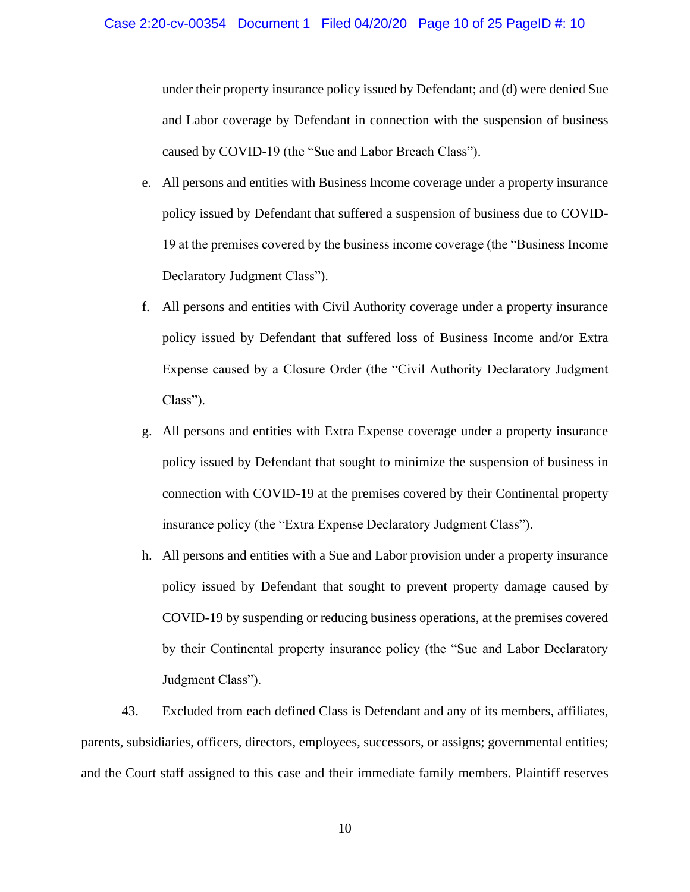under their property insurance policy issued by Defendant; and (d) were denied Sue and Labor coverage by Defendant in connection with the suspension of business caused by COVID-19 (the "Sue and Labor Breach Class").

- e. All persons and entities with Business Income coverage under a property insurance policy issued by Defendant that suffered a suspension of business due to COVID-19 at the premises covered by the business income coverage (the "Business Income Declaratory Judgment Class").
- f. All persons and entities with Civil Authority coverage under a property insurance policy issued by Defendant that suffered loss of Business Income and/or Extra Expense caused by a Closure Order (the "Civil Authority Declaratory Judgment Class").
- g. All persons and entities with Extra Expense coverage under a property insurance policy issued by Defendant that sought to minimize the suspension of business in connection with COVID-19 at the premises covered by their Continental property insurance policy (the "Extra Expense Declaratory Judgment Class").
- h. All persons and entities with a Sue and Labor provision under a property insurance policy issued by Defendant that sought to prevent property damage caused by COVID-19 by suspending or reducing business operations, at the premises covered by their Continental property insurance policy (the "Sue and Labor Declaratory Judgment Class").

43. Excluded from each defined Class is Defendant and any of its members, affiliates, parents, subsidiaries, officers, directors, employees, successors, or assigns; governmental entities; and the Court staff assigned to this case and their immediate family members. Plaintiff reserves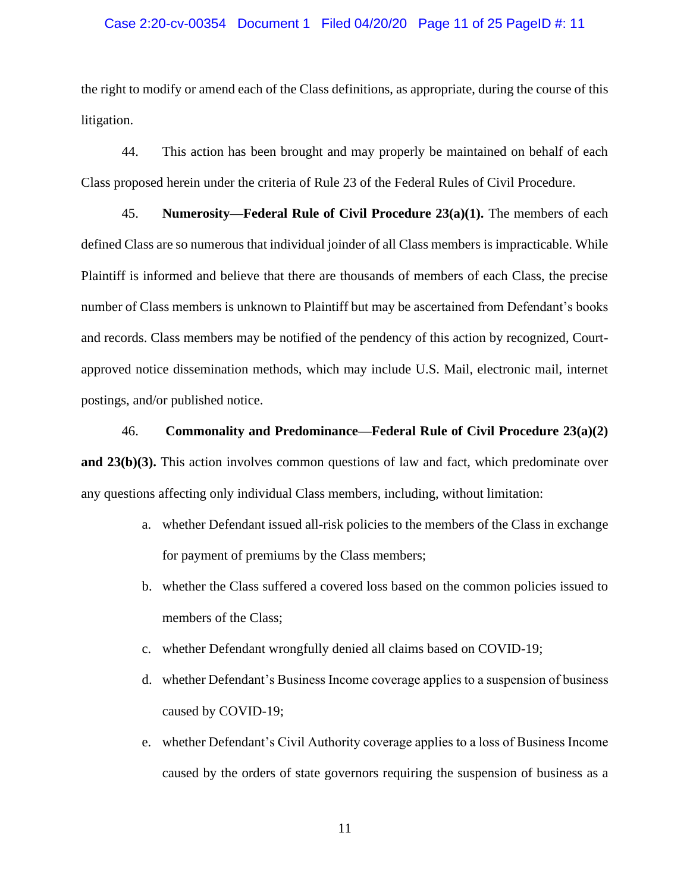#### Case 2:20-cv-00354 Document 1 Filed 04/20/20 Page 11 of 25 PageID #: 11

the right to modify or amend each of the Class definitions, as appropriate, during the course of this litigation.

44. This action has been brought and may properly be maintained on behalf of each Class proposed herein under the criteria of Rule 23 of the Federal Rules of Civil Procedure.

45. **Numerosity—Federal Rule of Civil Procedure 23(a)(1).** The members of each defined Class are so numerous that individual joinder of all Class members is impracticable. While Plaintiff is informed and believe that there are thousands of members of each Class, the precise number of Class members is unknown to Plaintiff but may be ascertained from Defendant's books and records. Class members may be notified of the pendency of this action by recognized, Courtapproved notice dissemination methods, which may include U.S. Mail, electronic mail, internet postings, and/or published notice.

## 46. **Commonality and Predominance—Federal Rule of Civil Procedure 23(a)(2)**

**and 23(b)(3).** This action involves common questions of law and fact, which predominate over any questions affecting only individual Class members, including, without limitation:

- a. whether Defendant issued all-risk policies to the members of the Class in exchange for payment of premiums by the Class members;
- b. whether the Class suffered a covered loss based on the common policies issued to members of the Class;
- c. whether Defendant wrongfully denied all claims based on COVID-19;
- d. whether Defendant's Business Income coverage applies to a suspension of business caused by COVID-19;
- e. whether Defendant's Civil Authority coverage applies to a loss of Business Income caused by the orders of state governors requiring the suspension of business as a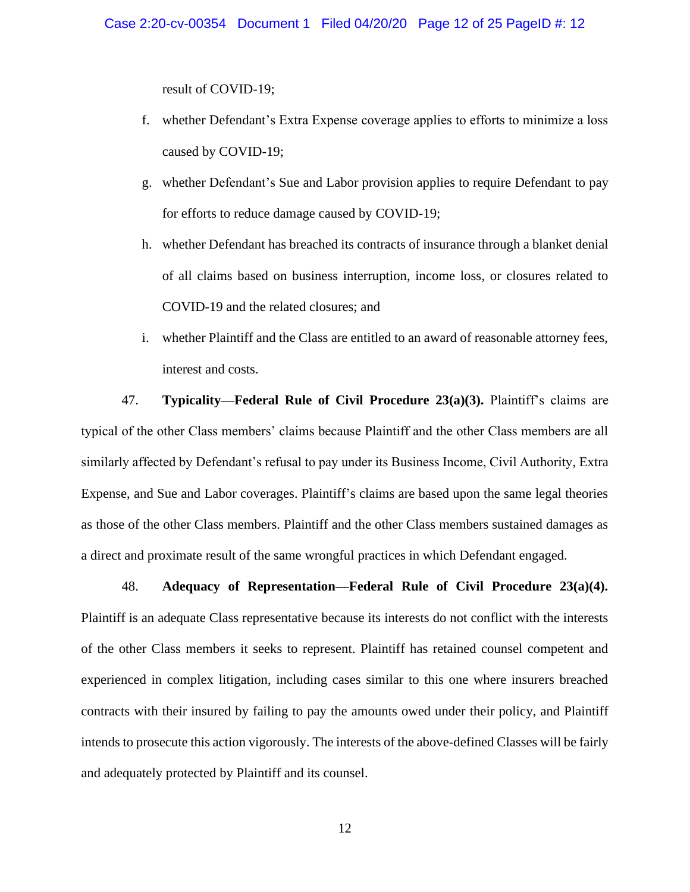result of COVID-19;

- f. whether Defendant's Extra Expense coverage applies to efforts to minimize a loss caused by COVID-19;
- g. whether Defendant's Sue and Labor provision applies to require Defendant to pay for efforts to reduce damage caused by COVID-19;
- h. whether Defendant has breached its contracts of insurance through a blanket denial of all claims based on business interruption, income loss, or closures related to COVID-19 and the related closures; and
- i. whether Plaintiff and the Class are entitled to an award of reasonable attorney fees, interest and costs.

47. **Typicality—Federal Rule of Civil Procedure 23(a)(3).** Plaintiff's claims are typical of the other Class members' claims because Plaintiff and the other Class members are all similarly affected by Defendant's refusal to pay under its Business Income, Civil Authority, Extra Expense, and Sue and Labor coverages. Plaintiff's claims are based upon the same legal theories as those of the other Class members. Plaintiff and the other Class members sustained damages as a direct and proximate result of the same wrongful practices in which Defendant engaged.

48. **Adequacy of Representation—Federal Rule of Civil Procedure 23(a)(4).**  Plaintiff is an adequate Class representative because its interests do not conflict with the interests of the other Class members it seeks to represent. Plaintiff has retained counsel competent and experienced in complex litigation, including cases similar to this one where insurers breached contracts with their insured by failing to pay the amounts owed under their policy, and Plaintiff intends to prosecute this action vigorously. The interests of the above-defined Classes will be fairly and adequately protected by Plaintiff and its counsel.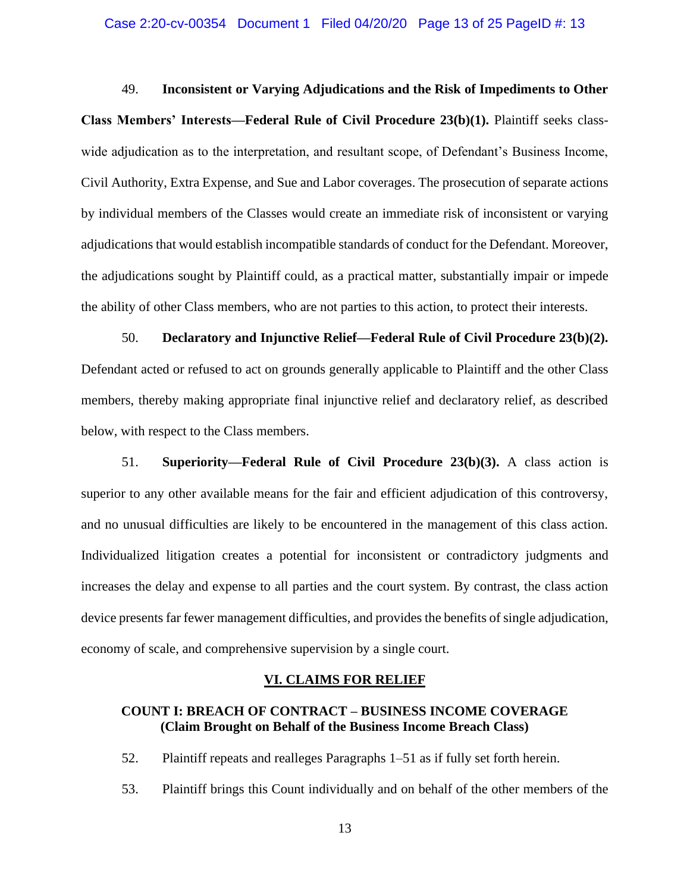49. **Inconsistent or Varying Adjudications and the Risk of Impediments to Other Class Members' Interests—Federal Rule of Civil Procedure 23(b)(1).** Plaintiff seeks classwide adjudication as to the interpretation, and resultant scope, of Defendant's Business Income, Civil Authority, Extra Expense, and Sue and Labor coverages. The prosecution of separate actions by individual members of the Classes would create an immediate risk of inconsistent or varying adjudications that would establish incompatible standards of conduct for the Defendant. Moreover, the adjudications sought by Plaintiff could, as a practical matter, substantially impair or impede the ability of other Class members, who are not parties to this action, to protect their interests.

50. **Declaratory and Injunctive Relief—Federal Rule of Civil Procedure 23(b)(2).**  Defendant acted or refused to act on grounds generally applicable to Plaintiff and the other Class members, thereby making appropriate final injunctive relief and declaratory relief, as described below, with respect to the Class members.

51. **Superiority—Federal Rule of Civil Procedure 23(b)(3).** A class action is superior to any other available means for the fair and efficient adjudication of this controversy, and no unusual difficulties are likely to be encountered in the management of this class action. Individualized litigation creates a potential for inconsistent or contradictory judgments and increases the delay and expense to all parties and the court system. By contrast, the class action device presents far fewer management difficulties, and provides the benefits of single adjudication, economy of scale, and comprehensive supervision by a single court.

## **VI. CLAIMS FOR RELIEF**

## **COUNT I: BREACH OF CONTRACT – BUSINESS INCOME COVERAGE (Claim Brought on Behalf of the Business Income Breach Class)**

52. Plaintiff repeats and realleges Paragraphs 1–51 as if fully set forth herein.

53. Plaintiff brings this Count individually and on behalf of the other members of the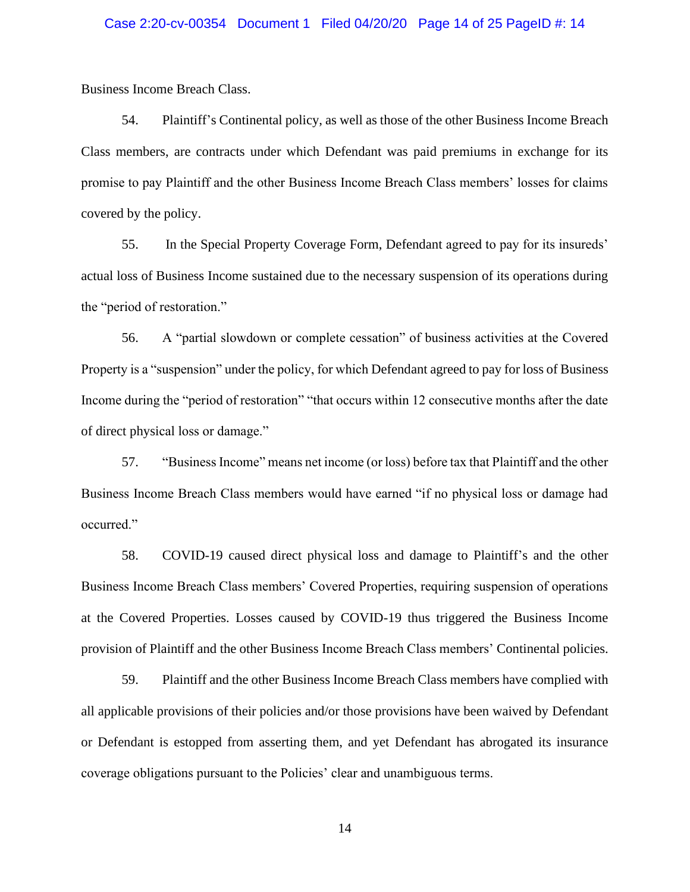Business Income Breach Class.

54. Plaintiff's Continental policy, as well as those of the other Business Income Breach Class members, are contracts under which Defendant was paid premiums in exchange for its promise to pay Plaintiff and the other Business Income Breach Class members' losses for claims covered by the policy.

55. In the Special Property Coverage Form, Defendant agreed to pay for its insureds' actual loss of Business Income sustained due to the necessary suspension of its operations during the "period of restoration."

56. A "partial slowdown or complete cessation" of business activities at the Covered Property is a "suspension" under the policy, for which Defendant agreed to pay for loss of Business Income during the "period of restoration" "that occurs within 12 consecutive months after the date of direct physical loss or damage."

57. "Business Income" means net income (or loss) before tax that Plaintiff and the other Business Income Breach Class members would have earned "if no physical loss or damage had occurred."

58. COVID-19 caused direct physical loss and damage to Plaintiff's and the other Business Income Breach Class members' Covered Properties, requiring suspension of operations at the Covered Properties. Losses caused by COVID-19 thus triggered the Business Income provision of Plaintiff and the other Business Income Breach Class members' Continental policies.

59. Plaintiff and the other Business Income Breach Class members have complied with all applicable provisions of their policies and/or those provisions have been waived by Defendant or Defendant is estopped from asserting them, and yet Defendant has abrogated its insurance coverage obligations pursuant to the Policies' clear and unambiguous terms.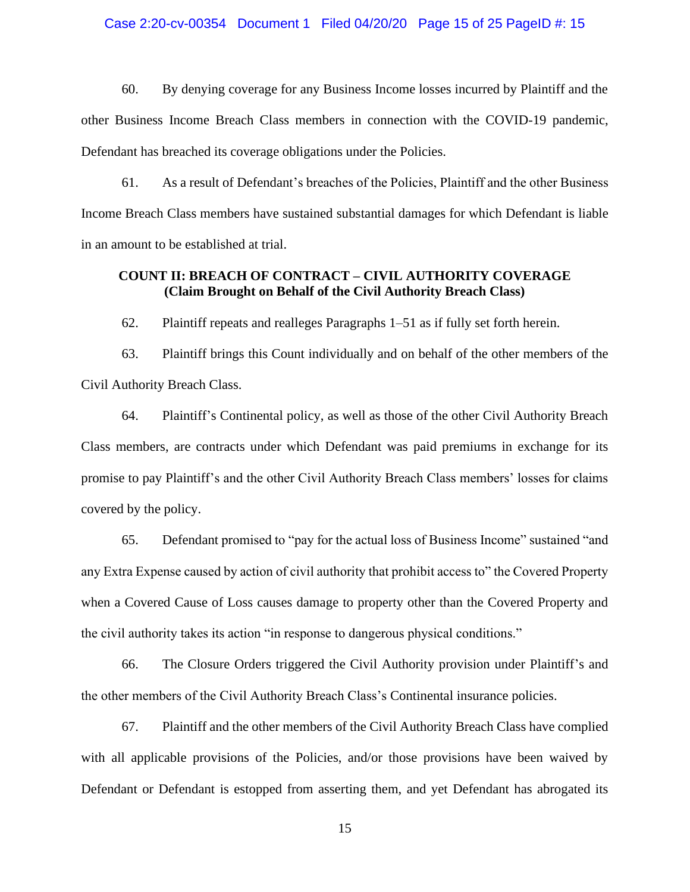#### Case 2:20-cv-00354 Document 1 Filed 04/20/20 Page 15 of 25 PageID #: 15

60. By denying coverage for any Business Income losses incurred by Plaintiff and the other Business Income Breach Class members in connection with the COVID-19 pandemic, Defendant has breached its coverage obligations under the Policies.

61. As a result of Defendant's breaches of the Policies, Plaintiff and the other Business Income Breach Class members have sustained substantial damages for which Defendant is liable in an amount to be established at trial.

# **COUNT II: BREACH OF CONTRACT – CIVIL AUTHORITY COVERAGE (Claim Brought on Behalf of the Civil Authority Breach Class)**

62. Plaintiff repeats and realleges Paragraphs 1–51 as if fully set forth herein.

63. Plaintiff brings this Count individually and on behalf of the other members of the Civil Authority Breach Class.

64. Plaintiff's Continental policy, as well as those of the other Civil Authority Breach Class members, are contracts under which Defendant was paid premiums in exchange for its promise to pay Plaintiff's and the other Civil Authority Breach Class members' losses for claims covered by the policy.

65. Defendant promised to "pay for the actual loss of Business Income" sustained "and any Extra Expense caused by action of civil authority that prohibit access to" the Covered Property when a Covered Cause of Loss causes damage to property other than the Covered Property and the civil authority takes its action "in response to dangerous physical conditions."

66. The Closure Orders triggered the Civil Authority provision under Plaintiff's and the other members of the Civil Authority Breach Class's Continental insurance policies.

67. Plaintiff and the other members of the Civil Authority Breach Class have complied with all applicable provisions of the Policies, and/or those provisions have been waived by Defendant or Defendant is estopped from asserting them, and yet Defendant has abrogated its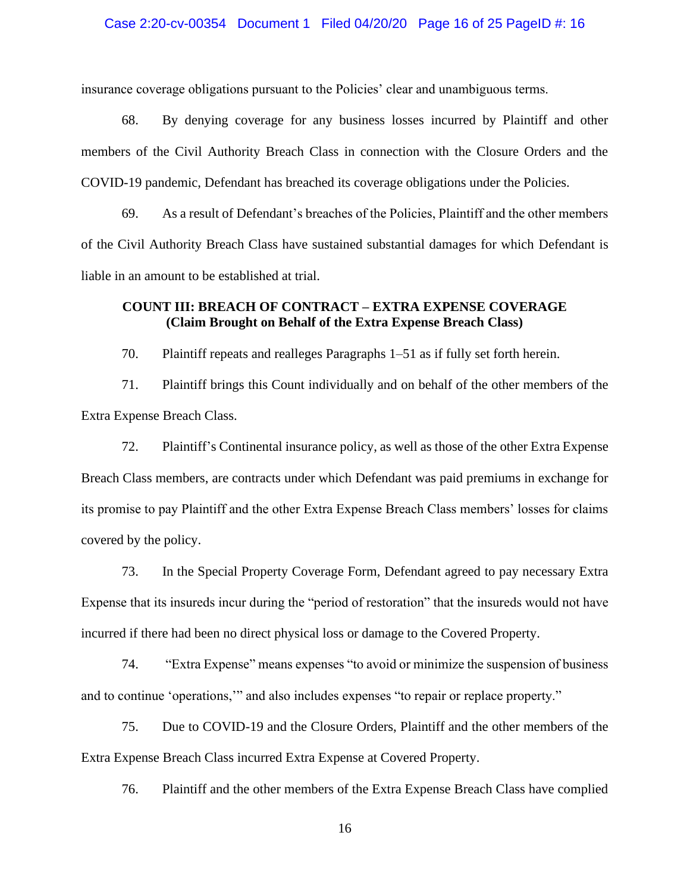#### Case 2:20-cv-00354 Document 1 Filed 04/20/20 Page 16 of 25 PageID #: 16

insurance coverage obligations pursuant to the Policies' clear and unambiguous terms.

68. By denying coverage for any business losses incurred by Plaintiff and other members of the Civil Authority Breach Class in connection with the Closure Orders and the COVID-19 pandemic, Defendant has breached its coverage obligations under the Policies.

69. As a result of Defendant's breaches of the Policies, Plaintiff and the other members of the Civil Authority Breach Class have sustained substantial damages for which Defendant is liable in an amount to be established at trial.

# **COUNT III: BREACH OF CONTRACT – EXTRA EXPENSE COVERAGE (Claim Brought on Behalf of the Extra Expense Breach Class)**

70. Plaintiff repeats and realleges Paragraphs 1–51 as if fully set forth herein.

71. Plaintiff brings this Count individually and on behalf of the other members of the Extra Expense Breach Class.

72. Plaintiff's Continental insurance policy, as well as those of the other Extra Expense Breach Class members, are contracts under which Defendant was paid premiums in exchange for its promise to pay Plaintiff and the other Extra Expense Breach Class members' losses for claims covered by the policy.

73. In the Special Property Coverage Form, Defendant agreed to pay necessary Extra Expense that its insureds incur during the "period of restoration" that the insureds would not have incurred if there had been no direct physical loss or damage to the Covered Property.

74. "Extra Expense" means expenses "to avoid or minimize the suspension of business and to continue 'operations,'" and also includes expenses "to repair or replace property."

75. Due to COVID-19 and the Closure Orders, Plaintiff and the other members of the Extra Expense Breach Class incurred Extra Expense at Covered Property.

76. Plaintiff and the other members of the Extra Expense Breach Class have complied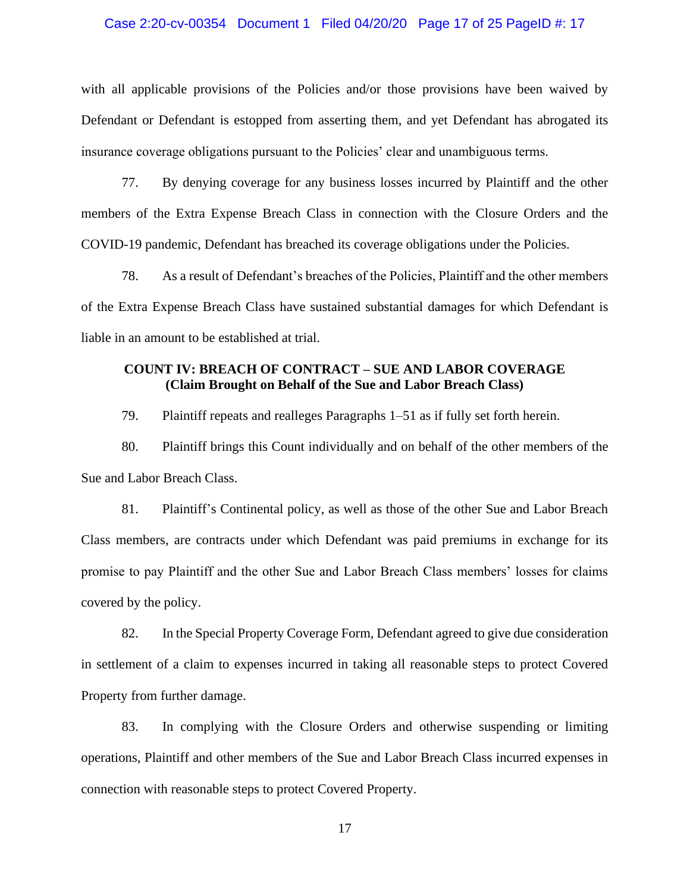#### Case 2:20-cv-00354 Document 1 Filed 04/20/20 Page 17 of 25 PageID #: 17

with all applicable provisions of the Policies and/or those provisions have been waived by Defendant or Defendant is estopped from asserting them, and yet Defendant has abrogated its insurance coverage obligations pursuant to the Policies' clear and unambiguous terms.

77. By denying coverage for any business losses incurred by Plaintiff and the other members of the Extra Expense Breach Class in connection with the Closure Orders and the COVID-19 pandemic, Defendant has breached its coverage obligations under the Policies.

78. As a result of Defendant's breaches of the Policies, Plaintiff and the other members of the Extra Expense Breach Class have sustained substantial damages for which Defendant is liable in an amount to be established at trial.

# **COUNT IV: BREACH OF CONTRACT – SUE AND LABOR COVERAGE (Claim Brought on Behalf of the Sue and Labor Breach Class)**

79. Plaintiff repeats and realleges Paragraphs 1–51 as if fully set forth herein.

80. Plaintiff brings this Count individually and on behalf of the other members of the Sue and Labor Breach Class.

81. Plaintiff's Continental policy, as well as those of the other Sue and Labor Breach Class members, are contracts under which Defendant was paid premiums in exchange for its promise to pay Plaintiff and the other Sue and Labor Breach Class members' losses for claims covered by the policy.

82. In the Special Property Coverage Form, Defendant agreed to give due consideration in settlement of a claim to expenses incurred in taking all reasonable steps to protect Covered Property from further damage.

83. In complying with the Closure Orders and otherwise suspending or limiting operations, Plaintiff and other members of the Sue and Labor Breach Class incurred expenses in connection with reasonable steps to protect Covered Property.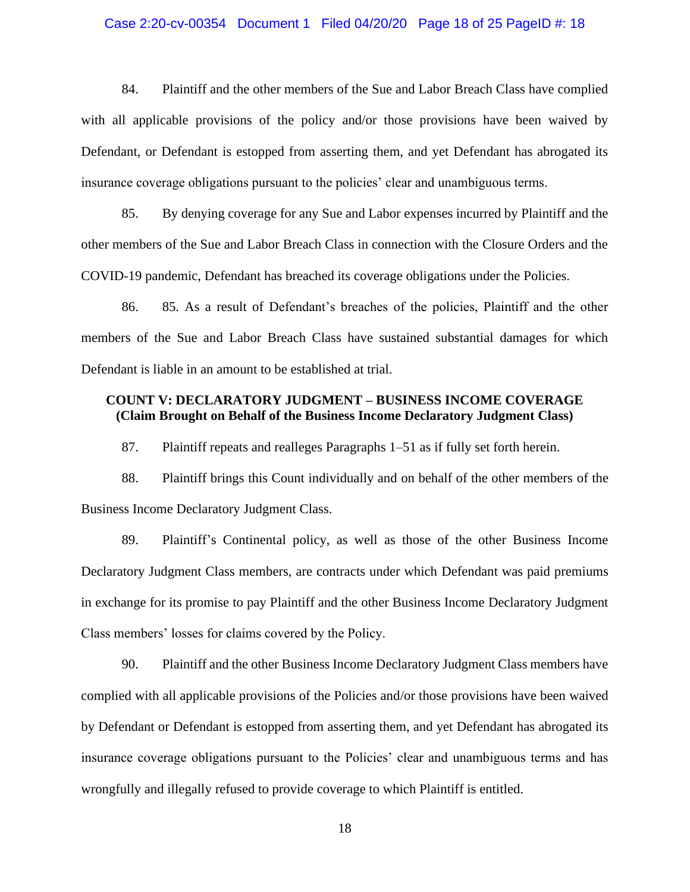#### Case 2:20-cv-00354 Document 1 Filed 04/20/20 Page 18 of 25 PageID #: 18

84. Plaintiff and the other members of the Sue and Labor Breach Class have complied with all applicable provisions of the policy and/or those provisions have been waived by Defendant, or Defendant is estopped from asserting them, and yet Defendant has abrogated its insurance coverage obligations pursuant to the policies' clear and unambiguous terms.

85. By denying coverage for any Sue and Labor expenses incurred by Plaintiff and the other members of the Sue and Labor Breach Class in connection with the Closure Orders and the COVID-19 pandemic, Defendant has breached its coverage obligations under the Policies.

86. 85. As a result of Defendant's breaches of the policies, Plaintiff and the other members of the Sue and Labor Breach Class have sustained substantial damages for which Defendant is liable in an amount to be established at trial.

# **COUNT V: DECLARATORY JUDGMENT – BUSINESS INCOME COVERAGE (Claim Brought on Behalf of the Business Income Declaratory Judgment Class)**

87. Plaintiff repeats and realleges Paragraphs 1–51 as if fully set forth herein.

88. Plaintiff brings this Count individually and on behalf of the other members of the Business Income Declaratory Judgment Class.

89. Plaintiff's Continental policy, as well as those of the other Business Income Declaratory Judgment Class members, are contracts under which Defendant was paid premiums in exchange for its promise to pay Plaintiff and the other Business Income Declaratory Judgment Class members' losses for claims covered by the Policy.

90. Plaintiff and the other Business Income Declaratory Judgment Class members have complied with all applicable provisions of the Policies and/or those provisions have been waived by Defendant or Defendant is estopped from asserting them, and yet Defendant has abrogated its insurance coverage obligations pursuant to the Policies' clear and unambiguous terms and has wrongfully and illegally refused to provide coverage to which Plaintiff is entitled.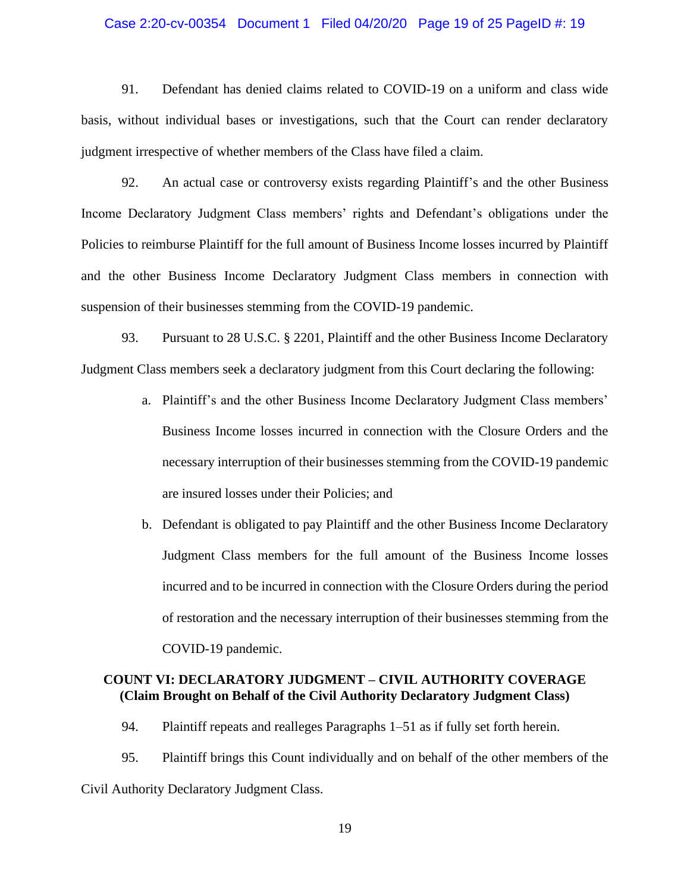#### Case 2:20-cv-00354 Document 1 Filed 04/20/20 Page 19 of 25 PageID #: 19

91. Defendant has denied claims related to COVID-19 on a uniform and class wide basis, without individual bases or investigations, such that the Court can render declaratory judgment irrespective of whether members of the Class have filed a claim.

92. An actual case or controversy exists regarding Plaintiff's and the other Business Income Declaratory Judgment Class members' rights and Defendant's obligations under the Policies to reimburse Plaintiff for the full amount of Business Income losses incurred by Plaintiff and the other Business Income Declaratory Judgment Class members in connection with suspension of their businesses stemming from the COVID-19 pandemic.

93. Pursuant to 28 U.S.C. § 2201, Plaintiff and the other Business Income Declaratory Judgment Class members seek a declaratory judgment from this Court declaring the following:

- a. Plaintiff's and the other Business Income Declaratory Judgment Class members' Business Income losses incurred in connection with the Closure Orders and the necessary interruption of their businesses stemming from the COVID-19 pandemic are insured losses under their Policies; and
- b. Defendant is obligated to pay Plaintiff and the other Business Income Declaratory Judgment Class members for the full amount of the Business Income losses incurred and to be incurred in connection with the Closure Orders during the period of restoration and the necessary interruption of their businesses stemming from the COVID-19 pandemic.

## **COUNT VI: DECLARATORY JUDGMENT – CIVIL AUTHORITY COVERAGE (Claim Brought on Behalf of the Civil Authority Declaratory Judgment Class)**

94. Plaintiff repeats and realleges Paragraphs 1–51 as if fully set forth herein.

95. Plaintiff brings this Count individually and on behalf of the other members of the Civil Authority Declaratory Judgment Class.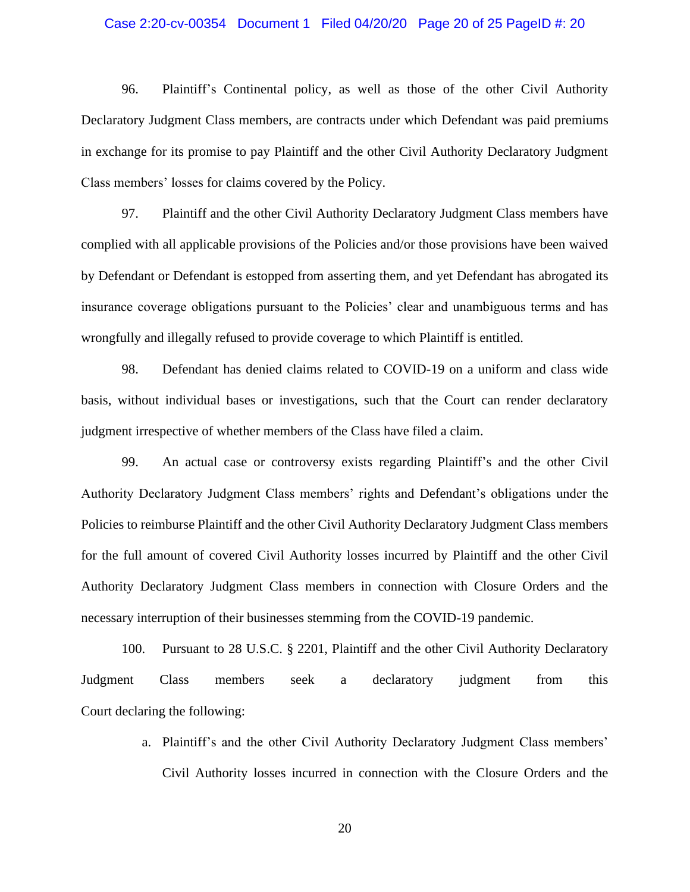#### Case 2:20-cv-00354 Document 1 Filed 04/20/20 Page 20 of 25 PageID #: 20

96. Plaintiff's Continental policy, as well as those of the other Civil Authority Declaratory Judgment Class members, are contracts under which Defendant was paid premiums in exchange for its promise to pay Plaintiff and the other Civil Authority Declaratory Judgment Class members' losses for claims covered by the Policy.

97. Plaintiff and the other Civil Authority Declaratory Judgment Class members have complied with all applicable provisions of the Policies and/or those provisions have been waived by Defendant or Defendant is estopped from asserting them, and yet Defendant has abrogated its insurance coverage obligations pursuant to the Policies' clear and unambiguous terms and has wrongfully and illegally refused to provide coverage to which Plaintiff is entitled.

98. Defendant has denied claims related to COVID-19 on a uniform and class wide basis, without individual bases or investigations, such that the Court can render declaratory judgment irrespective of whether members of the Class have filed a claim.

99. An actual case or controversy exists regarding Plaintiff's and the other Civil Authority Declaratory Judgment Class members' rights and Defendant's obligations under the Policies to reimburse Plaintiff and the other Civil Authority Declaratory Judgment Class members for the full amount of covered Civil Authority losses incurred by Plaintiff and the other Civil Authority Declaratory Judgment Class members in connection with Closure Orders and the necessary interruption of their businesses stemming from the COVID-19 pandemic.

100. Pursuant to 28 U.S.C. § 2201, Plaintiff and the other Civil Authority Declaratory Judgment Class members seek a declaratory judgment from this Court declaring the following:

> a. Plaintiff's and the other Civil Authority Declaratory Judgment Class members' Civil Authority losses incurred in connection with the Closure Orders and the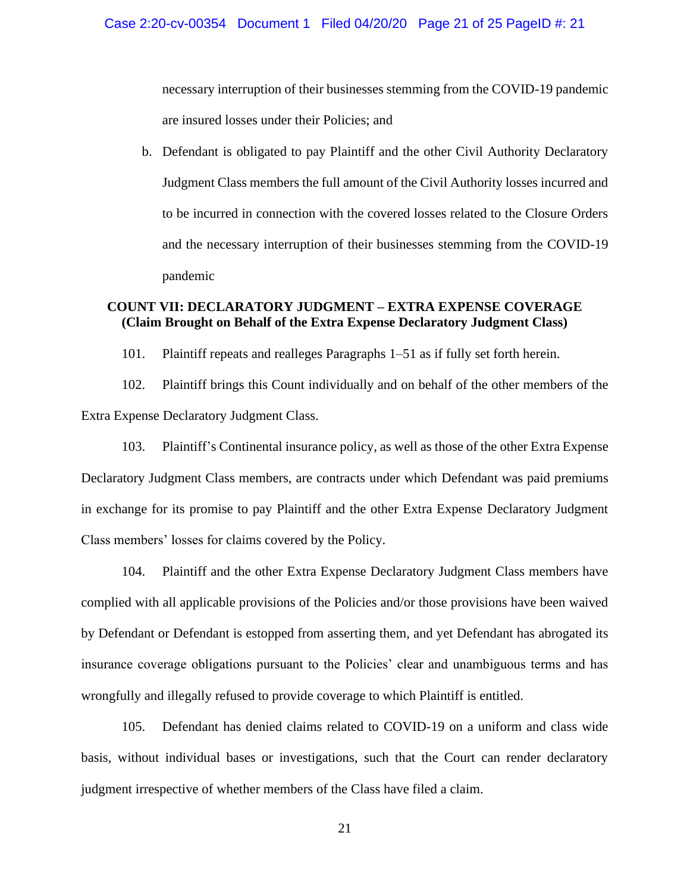necessary interruption of their businesses stemming from the COVID-19 pandemic are insured losses under their Policies; and

b. Defendant is obligated to pay Plaintiff and the other Civil Authority Declaratory Judgment Class members the full amount of the Civil Authority losses incurred and to be incurred in connection with the covered losses related to the Closure Orders and the necessary interruption of their businesses stemming from the COVID-19 pandemic

# **COUNT VII: DECLARATORY JUDGMENT – EXTRA EXPENSE COVERAGE (Claim Brought on Behalf of the Extra Expense Declaratory Judgment Class)**

101. Plaintiff repeats and realleges Paragraphs 1–51 as if fully set forth herein.

102. Plaintiff brings this Count individually and on behalf of the other members of the Extra Expense Declaratory Judgment Class.

103. Plaintiff's Continental insurance policy, as well as those of the other Extra Expense Declaratory Judgment Class members, are contracts under which Defendant was paid premiums in exchange for its promise to pay Plaintiff and the other Extra Expense Declaratory Judgment Class members' losses for claims covered by the Policy.

104. Plaintiff and the other Extra Expense Declaratory Judgment Class members have complied with all applicable provisions of the Policies and/or those provisions have been waived by Defendant or Defendant is estopped from asserting them, and yet Defendant has abrogated its insurance coverage obligations pursuant to the Policies' clear and unambiguous terms and has wrongfully and illegally refused to provide coverage to which Plaintiff is entitled.

105. Defendant has denied claims related to COVID-19 on a uniform and class wide basis, without individual bases or investigations, such that the Court can render declaratory judgment irrespective of whether members of the Class have filed a claim.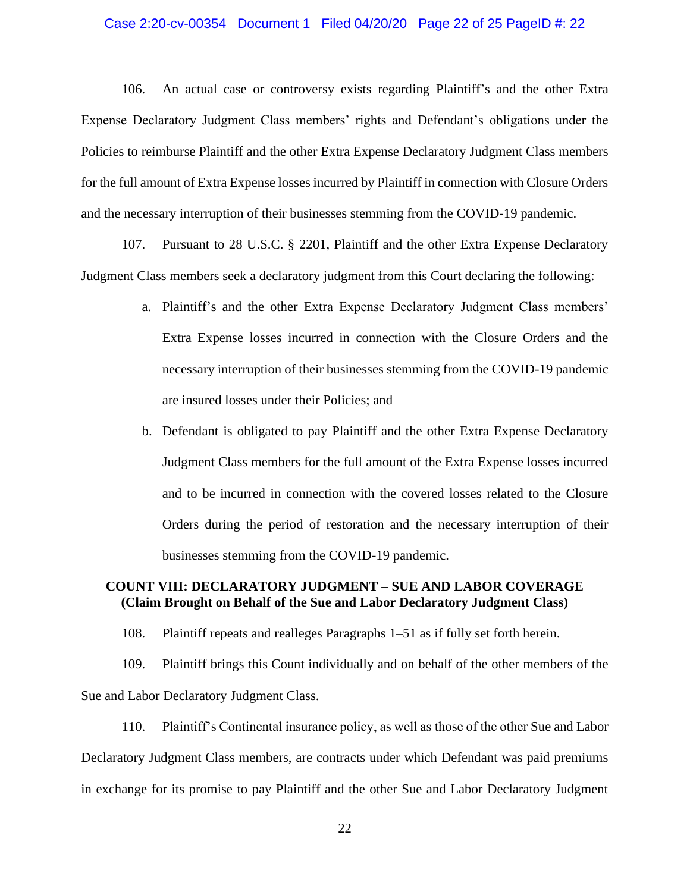#### Case 2:20-cv-00354 Document 1 Filed 04/20/20 Page 22 of 25 PageID #: 22

106. An actual case or controversy exists regarding Plaintiff's and the other Extra Expense Declaratory Judgment Class members' rights and Defendant's obligations under the Policies to reimburse Plaintiff and the other Extra Expense Declaratory Judgment Class members for the full amount of Extra Expense losses incurred by Plaintiff in connection with Closure Orders and the necessary interruption of their businesses stemming from the COVID-19 pandemic.

107. Pursuant to 28 U.S.C. § 2201, Plaintiff and the other Extra Expense Declaratory Judgment Class members seek a declaratory judgment from this Court declaring the following:

- a. Plaintiff's and the other Extra Expense Declaratory Judgment Class members' Extra Expense losses incurred in connection with the Closure Orders and the necessary interruption of their businesses stemming from the COVID-19 pandemic are insured losses under their Policies; and
- b. Defendant is obligated to pay Plaintiff and the other Extra Expense Declaratory Judgment Class members for the full amount of the Extra Expense losses incurred and to be incurred in connection with the covered losses related to the Closure Orders during the period of restoration and the necessary interruption of their businesses stemming from the COVID-19 pandemic.

## **COUNT VIII: DECLARATORY JUDGMENT – SUE AND LABOR COVERAGE (Claim Brought on Behalf of the Sue and Labor Declaratory Judgment Class)**

108. Plaintiff repeats and realleges Paragraphs 1–51 as if fully set forth herein.

109. Plaintiff brings this Count individually and on behalf of the other members of the Sue and Labor Declaratory Judgment Class.

110. Plaintiff's Continental insurance policy, as well as those of the other Sue and Labor Declaratory Judgment Class members, are contracts under which Defendant was paid premiums in exchange for its promise to pay Plaintiff and the other Sue and Labor Declaratory Judgment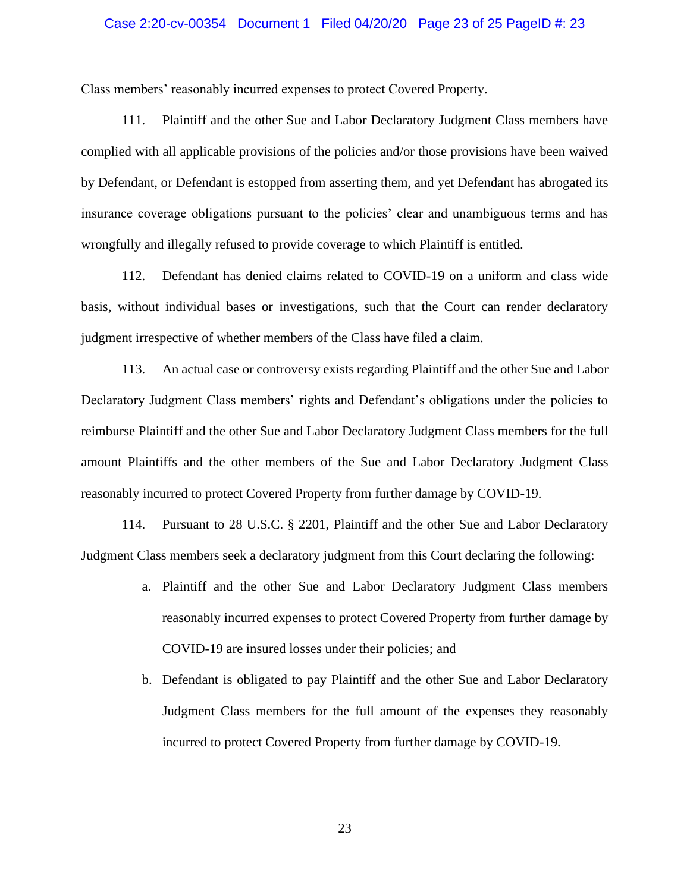#### Case 2:20-cv-00354 Document 1 Filed 04/20/20 Page 23 of 25 PageID #: 23

Class members' reasonably incurred expenses to protect Covered Property.

111. Plaintiff and the other Sue and Labor Declaratory Judgment Class members have complied with all applicable provisions of the policies and/or those provisions have been waived by Defendant, or Defendant is estopped from asserting them, and yet Defendant has abrogated its insurance coverage obligations pursuant to the policies' clear and unambiguous terms and has wrongfully and illegally refused to provide coverage to which Plaintiff is entitled.

112. Defendant has denied claims related to COVID-19 on a uniform and class wide basis, without individual bases or investigations, such that the Court can render declaratory judgment irrespective of whether members of the Class have filed a claim.

113. An actual case or controversy exists regarding Plaintiff and the other Sue and Labor Declaratory Judgment Class members' rights and Defendant's obligations under the policies to reimburse Plaintiff and the other Sue and Labor Declaratory Judgment Class members for the full amount Plaintiffs and the other members of the Sue and Labor Declaratory Judgment Class reasonably incurred to protect Covered Property from further damage by COVID-19.

114. Pursuant to 28 U.S.C. § 2201, Plaintiff and the other Sue and Labor Declaratory Judgment Class members seek a declaratory judgment from this Court declaring the following:

- a. Plaintiff and the other Sue and Labor Declaratory Judgment Class members reasonably incurred expenses to protect Covered Property from further damage by COVID-19 are insured losses under their policies; and
- b. Defendant is obligated to pay Plaintiff and the other Sue and Labor Declaratory Judgment Class members for the full amount of the expenses they reasonably incurred to protect Covered Property from further damage by COVID-19.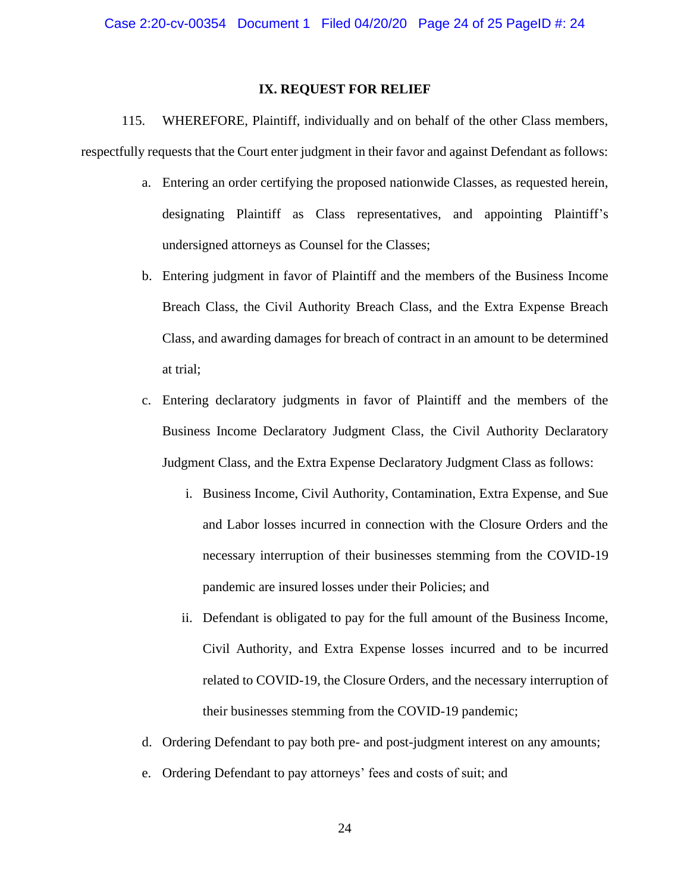#### **IX. REQUEST FOR RELIEF**

115. WHEREFORE, Plaintiff, individually and on behalf of the other Class members, respectfully requests that the Court enter judgment in their favor and against Defendant as follows:

- a. Entering an order certifying the proposed nationwide Classes, as requested herein, designating Plaintiff as Class representatives, and appointing Plaintiff's undersigned attorneys as Counsel for the Classes;
- b. Entering judgment in favor of Plaintiff and the members of the Business Income Breach Class, the Civil Authority Breach Class, and the Extra Expense Breach Class, and awarding damages for breach of contract in an amount to be determined at trial;
- c. Entering declaratory judgments in favor of Plaintiff and the members of the Business Income Declaratory Judgment Class, the Civil Authority Declaratory Judgment Class, and the Extra Expense Declaratory Judgment Class as follows:
	- i. Business Income, Civil Authority, Contamination, Extra Expense, and Sue and Labor losses incurred in connection with the Closure Orders and the necessary interruption of their businesses stemming from the COVID-19 pandemic are insured losses under their Policies; and
	- ii. Defendant is obligated to pay for the full amount of the Business Income, Civil Authority, and Extra Expense losses incurred and to be incurred related to COVID-19, the Closure Orders, and the necessary interruption of their businesses stemming from the COVID-19 pandemic;
- d. Ordering Defendant to pay both pre- and post-judgment interest on any amounts;
- e. Ordering Defendant to pay attorneys' fees and costs of suit; and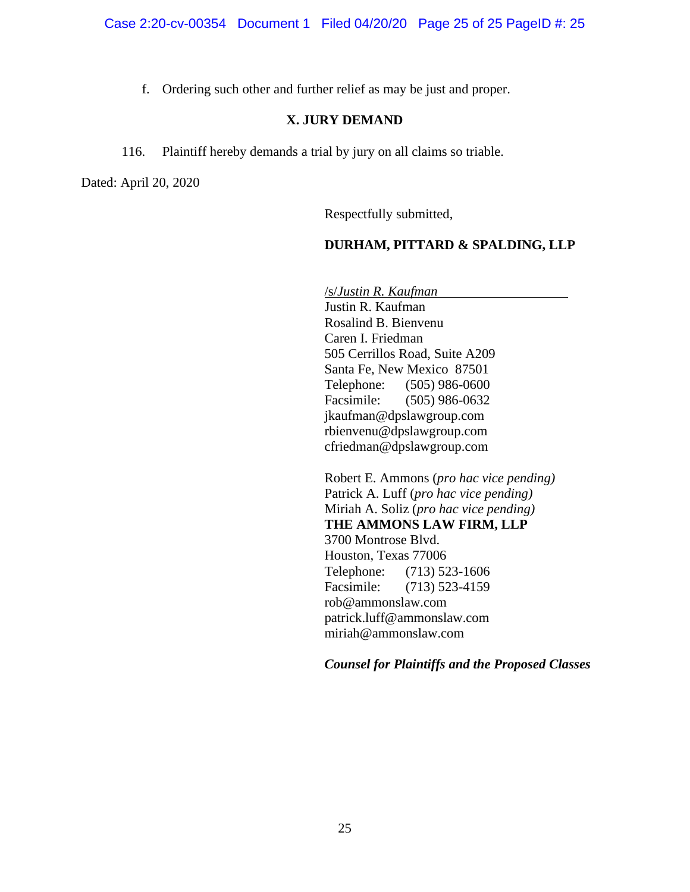Case 2:20-cv-00354 Document 1 Filed 04/20/20 Page 25 of 25 PageID #: 25

f. Ordering such other and further relief as may be just and proper.

# **X. JURY DEMAND**

116. Plaintiff hereby demands a trial by jury on all claims so triable.

Dated: April 20, 2020

Respectfully submitted,

# **DURHAM, PITTARD & SPALDING, LLP**

/s/*Justin R. Kaufman*

Justin R. Kaufman Rosalind B. Bienvenu Caren I. Friedman 505 Cerrillos Road, Suite A209 Santa Fe, New Mexico 87501 Telephone: (505) 986-0600 Facsimile: (505) 986-0632 jkaufman@dpslawgroup.com rbienvenu@dpslawgroup.com cfriedman@dpslawgroup.com

Robert E. Ammons (*pro hac vice pending)* Patrick A. Luff (*pro hac vice pending)* Miriah A. Soliz (*pro hac vice pending)* **THE AMMONS LAW FIRM, LLP**  3700 Montrose Blvd. Houston, Texas 77006 Telephone: (713) 523-1606 Facsimile: (713) 523-4159 rob@ammonslaw.com patrick.luff@ammonslaw.com miriah@ammonslaw.com

*Counsel for Plaintiffs and the Proposed Classes*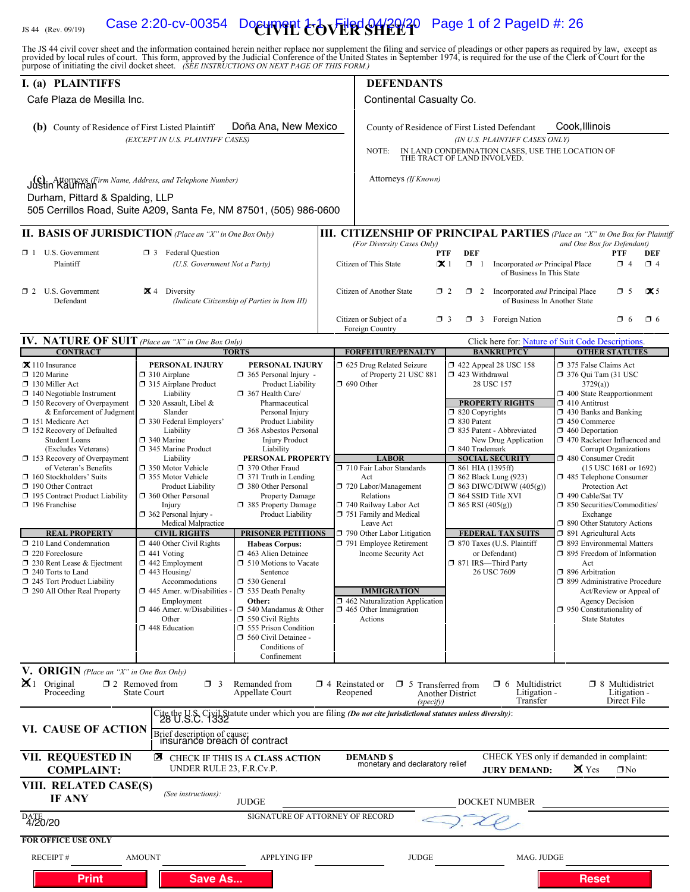# IS 44 (Rev. 09/19) **Case 2:20-cv-00354** Document  $\text{CovERSHE23}$  Page 1 of 2 PageID #: 26

The JS 44 civil cover sheet and the information contained herein neither replace nor supplement the filing and service of pleadings or other papers as required by law, except as provided by local rules of court. This form,

| I. (a) PLAINTIFFS                                                                                                                                                                                                                                                                                                                                                                                                                                                                                                                                                                                                                               |                                                                                                                                                                                                                                                                                                                                                                                                                                                                                                                                                                                                                                    |                                                                                                                                                                                                                                                                                                                                                                                                                                                                                                                                                                                                                                                                                                   |                                                                                                                                                                                              | <b>DEFENDANTS</b>                                                                                                                                                                                                                                                                                                                                                                                                   |                                                                                                                                                                                                                                                                                                                                                                                                                                                                                                          |                                                                                                                                                                                                                                                                                                                                                                                                                                                                                                                                                                                                                                                                                                                                                                 |  |
|-------------------------------------------------------------------------------------------------------------------------------------------------------------------------------------------------------------------------------------------------------------------------------------------------------------------------------------------------------------------------------------------------------------------------------------------------------------------------------------------------------------------------------------------------------------------------------------------------------------------------------------------------|------------------------------------------------------------------------------------------------------------------------------------------------------------------------------------------------------------------------------------------------------------------------------------------------------------------------------------------------------------------------------------------------------------------------------------------------------------------------------------------------------------------------------------------------------------------------------------------------------------------------------------|---------------------------------------------------------------------------------------------------------------------------------------------------------------------------------------------------------------------------------------------------------------------------------------------------------------------------------------------------------------------------------------------------------------------------------------------------------------------------------------------------------------------------------------------------------------------------------------------------------------------------------------------------------------------------------------------------|----------------------------------------------------------------------------------------------------------------------------------------------------------------------------------------------|---------------------------------------------------------------------------------------------------------------------------------------------------------------------------------------------------------------------------------------------------------------------------------------------------------------------------------------------------------------------------------------------------------------------|----------------------------------------------------------------------------------------------------------------------------------------------------------------------------------------------------------------------------------------------------------------------------------------------------------------------------------------------------------------------------------------------------------------------------------------------------------------------------------------------------------|-----------------------------------------------------------------------------------------------------------------------------------------------------------------------------------------------------------------------------------------------------------------------------------------------------------------------------------------------------------------------------------------------------------------------------------------------------------------------------------------------------------------------------------------------------------------------------------------------------------------------------------------------------------------------------------------------------------------------------------------------------------------|--|
| Cafe Plaza de Mesilla Inc.                                                                                                                                                                                                                                                                                                                                                                                                                                                                                                                                                                                                                      |                                                                                                                                                                                                                                                                                                                                                                                                                                                                                                                                                                                                                                    |                                                                                                                                                                                                                                                                                                                                                                                                                                                                                                                                                                                                                                                                                                   | Continental Casualty Co.                                                                                                                                                                     |                                                                                                                                                                                                                                                                                                                                                                                                                     |                                                                                                                                                                                                                                                                                                                                                                                                                                                                                                          |                                                                                                                                                                                                                                                                                                                                                                                                                                                                                                                                                                                                                                                                                                                                                                 |  |
| Doña Ana, New Mexico<br>(b) County of Residence of First Listed Plaintiff<br>(EXCEPT IN U.S. PLAINTIFF CASES)                                                                                                                                                                                                                                                                                                                                                                                                                                                                                                                                   |                                                                                                                                                                                                                                                                                                                                                                                                                                                                                                                                                                                                                                    |                                                                                                                                                                                                                                                                                                                                                                                                                                                                                                                                                                                                                                                                                                   | Cook, Illinois<br>County of Residence of First Listed Defendant<br>(IN U.S. PLAINTIFF CASES ONLY)<br>IN LAND CONDEMNATION CASES, USE THE LOCATION OF<br>NOTE:<br>THE TRACT OF LAND INVOLVED. |                                                                                                                                                                                                                                                                                                                                                                                                                     |                                                                                                                                                                                                                                                                                                                                                                                                                                                                                                          |                                                                                                                                                                                                                                                                                                                                                                                                                                                                                                                                                                                                                                                                                                                                                                 |  |
| (c). Attorneys (Firm Name, Address, and Telephone Number)<br>Justin Kaufman<br>Durham, Pittard & Spalding, LLP<br>505 Cerrillos Road, Suite A209, Santa Fe, NM 87501, (505) 986-0600                                                                                                                                                                                                                                                                                                                                                                                                                                                            |                                                                                                                                                                                                                                                                                                                                                                                                                                                                                                                                                                                                                                    |                                                                                                                                                                                                                                                                                                                                                                                                                                                                                                                                                                                                                                                                                                   |                                                                                                                                                                                              | Attorneys (If Known)                                                                                                                                                                                                                                                                                                                                                                                                |                                                                                                                                                                                                                                                                                                                                                                                                                                                                                                          |                                                                                                                                                                                                                                                                                                                                                                                                                                                                                                                                                                                                                                                                                                                                                                 |  |
| <b>II. BASIS OF JURISDICTION</b> (Place an "X" in One Box Only)                                                                                                                                                                                                                                                                                                                                                                                                                                                                                                                                                                                 |                                                                                                                                                                                                                                                                                                                                                                                                                                                                                                                                                                                                                                    |                                                                                                                                                                                                                                                                                                                                                                                                                                                                                                                                                                                                                                                                                                   |                                                                                                                                                                                              |                                                                                                                                                                                                                                                                                                                                                                                                                     |                                                                                                                                                                                                                                                                                                                                                                                                                                                                                                          | <b>III. CITIZENSHIP OF PRINCIPAL PARTIES</b> (Place an "X" in One Box for Plaintiff                                                                                                                                                                                                                                                                                                                                                                                                                                                                                                                                                                                                                                                                             |  |
| $\Box$ 1 U.S. Government<br><b>3</b> Federal Question<br>Plaintiff<br>(U.S. Government Not a Party)                                                                                                                                                                                                                                                                                                                                                                                                                                                                                                                                             |                                                                                                                                                                                                                                                                                                                                                                                                                                                                                                                                                                                                                                    | (For Diversity Cases Only)<br>and One Box for Defendant)<br><b>DEF</b><br><b>PTF</b><br><b>PTF</b><br>DEF<br>Citizen of This State<br>$\propto$ 1<br>$\Box$ 1<br>Incorporated or Principal Place<br>$\Box$ 4<br>$\Box$ 4<br>of Business In This State                                                                                                                                                                                                                                                                                                                                                                                                                                             |                                                                                                                                                                                              |                                                                                                                                                                                                                                                                                                                                                                                                                     |                                                                                                                                                                                                                                                                                                                                                                                                                                                                                                          |                                                                                                                                                                                                                                                                                                                                                                                                                                                                                                                                                                                                                                                                                                                                                                 |  |
| $\Box$ 2 U.S. Government<br>Defendant                                                                                                                                                                                                                                                                                                                                                                                                                                                                                                                                                                                                           | $\mathbf{X}$ 4 Diversity<br>(Indicate Citizenship of Parties in Item III)                                                                                                                                                                                                                                                                                                                                                                                                                                                                                                                                                          |                                                                                                                                                                                                                                                                                                                                                                                                                                                                                                                                                                                                                                                                                                   |                                                                                                                                                                                              | Citizen of Another State<br>$\Box$ 2<br>Incorporated and Principal Place<br>$\Box$ 5<br>$\mathbf{\times}$ 5<br>$\Box$ 2<br>of Business In Another State<br>Citizen or Subject of a<br>$\Box$ 3 Foreign Nation<br>$\Box$ 6<br>$\Box$ 3<br>$\Box$ 6                                                                                                                                                                   |                                                                                                                                                                                                                                                                                                                                                                                                                                                                                                          |                                                                                                                                                                                                                                                                                                                                                                                                                                                                                                                                                                                                                                                                                                                                                                 |  |
|                                                                                                                                                                                                                                                                                                                                                                                                                                                                                                                                                                                                                                                 |                                                                                                                                                                                                                                                                                                                                                                                                                                                                                                                                                                                                                                    |                                                                                                                                                                                                                                                                                                                                                                                                                                                                                                                                                                                                                                                                                                   |                                                                                                                                                                                              | Foreign Country                                                                                                                                                                                                                                                                                                                                                                                                     |                                                                                                                                                                                                                                                                                                                                                                                                                                                                                                          |                                                                                                                                                                                                                                                                                                                                                                                                                                                                                                                                                                                                                                                                                                                                                                 |  |
| IV. NATURE OF SUIT (Place an "X" in One Box Only)<br><b>CONTRACT</b>                                                                                                                                                                                                                                                                                                                                                                                                                                                                                                                                                                            |                                                                                                                                                                                                                                                                                                                                                                                                                                                                                                                                                                                                                                    | <b>TORTS</b>                                                                                                                                                                                                                                                                                                                                                                                                                                                                                                                                                                                                                                                                                      |                                                                                                                                                                                              | <b>FORFEITURE/PENALTY</b>                                                                                                                                                                                                                                                                                                                                                                                           | <b>BANKRUPTCY</b>                                                                                                                                                                                                                                                                                                                                                                                                                                                                                        | Click here for: Nature of Suit Code Descriptions.<br><b>OTHER STATUTES</b>                                                                                                                                                                                                                                                                                                                                                                                                                                                                                                                                                                                                                                                                                      |  |
| $\mathbf{\times}$ 110 Insurance<br>$\Box$ 120 Marine<br>130 Miller Act<br>$\Box$ 140 Negotiable Instrument<br>$\Box$ 150 Recovery of Overpayment<br>& Enforcement of Judgment<br>151 Medicare Act<br>152 Recovery of Defaulted<br>Student Loans<br>(Excludes Veterans)<br>$\Box$ 153 Recovery of Overpayment<br>of Veteran's Benefits<br>160 Stockholders' Suits<br>190 Other Contract<br>□ 195 Contract Product Liability<br>$\Box$ 196 Franchise<br><b>REAL PROPERTY</b><br>210 Land Condemnation<br>220 Foreclosure<br>$\Box$ 230 Rent Lease & Ejectment<br>□ 240 Torts to Land<br>245 Tort Product Liability<br>290 All Other Real Property | PERSONAL INJURY<br>$\Box$ 310 Airplane<br>□ 315 Airplane Product<br>Liability<br>□ 320 Assault, Libel &<br>Slander<br>□ 330 Federal Employers'<br>Liability<br>□ 340 Marine<br>345 Marine Product<br>Liability<br>□ 350 Motor Vehicle<br>□ 355 Motor Vehicle<br>Product Liability<br>360 Other Personal<br>Injury<br>362 Personal Injury -<br>Medical Malpractice<br><b>CIVIL RIGHTS</b><br>$\Box$ 440 Other Civil Rights<br>$\Box$ 441 Voting<br>$\Box$ 442 Employment<br>$\Box$ 443 Housing/<br>Accommodations<br>$\Box$ 445 Amer. w/Disabilities -<br>Employment<br>$\Box$ 446 Amer. w/Disabilities -<br>Other<br>448 Education | PERSONAL INJURY<br>365 Personal Injury -<br>Product Liability<br>367 Health Care/<br>Pharmaceutical<br>Personal Injury<br>Product Liability<br>□ 368 Asbestos Personal<br><b>Injury Product</b><br>Liability<br>PERSONAL PROPERTY<br>370 Other Fraud<br>$\Box$ 371 Truth in Lending<br>380 Other Personal<br><b>Property Damage</b><br>385 Property Damage<br>Product Liability<br><b>PRISONER PETITIONS</b><br><b>Habeas Corpus:</b><br>463 Alien Detainee<br>$\Box$ 510 Motions to Vacate<br>Sentence<br>□ 530 General<br>535 Death Penalty<br>Other:<br>$\Box$ 540 Mandamus & Other<br>$\Box$ 550 Civil Rights<br>555 Prison Condition<br>560 Civil Detainee -<br>Conditions of<br>Confinement |                                                                                                                                                                                              | 5 625 Drug Related Seizure<br>of Property 21 USC 881<br>$\Box$ 690 Other<br><b>LABOR</b><br>710 Fair Labor Standards<br>Act<br>720 Labor/Management<br>Relations<br>740 Railway Labor Act<br>751 Family and Medical<br>Leave Act<br>790 Other Labor Litigation<br>791 Employee Retirement<br>Income Security Act<br><b>IMMIGRATION</b><br>462 Naturalization Application<br>$\Box$ 465 Other Immigration<br>Actions | 1422 Appeal 28 USC 158<br>$\Box$ 423 Withdrawal<br>28 USC 157<br><b>PROPERTY RIGHTS</b><br>$\Box$ 820 Copyrights<br>□ 830 Patent<br>335 Patent - Abbreviated<br>New Drug Application<br>□ 840 Trademark<br><b>SOCIAL SECURITY</b><br>$\Box$ 861 HIA (1395ff)<br>$\Box$ 862 Black Lung (923)<br>$\Box$ 863 DIWC/DIWW (405(g))<br>□ 864 SSID Title XVI<br>$\Box$ 865 RSI (405(g))<br><b>FEDERAL TAX SUITS</b><br>$\Box$ 870 Taxes (U.S. Plaintiff<br>or Defendant)<br>□ 871 IRS—Third Party<br>26 USC 7609 | 375 False Claims Act<br>$\Box$ 376 Qui Tam (31 USC<br>3729(a)<br>1 400 State Reapportionment<br>$\Box$ 410 Antitrust<br>$\Box$ 430 Banks and Banking<br>$\Box$ 450 Commerce<br>$\Box$ 460 Deportation<br>1 470 Racketeer Influenced and<br><b>Corrupt Organizations</b><br>480 Consumer Credit<br>(15 USC 1681 or 1692)<br>485 Telephone Consumer<br>Protection Act<br>$\Box$ 490 Cable/Sat TV<br>$\Box$ 850 Securities/Commodities/<br>Exchange<br>1 890 Other Statutory Actions<br>□ 891 Agricultural Acts<br>□ 893 Environmental Matters<br>$\Box$ 895 Freedom of Information<br>Act<br>□ 896 Arbitration<br>□ 899 Administrative Procedure<br>Act/Review or Appeal of<br><b>Agency Decision</b><br>$\Box$ 950 Constitutionality of<br><b>State Statutes</b> |  |
| V. ORIGIN (Place an "X" in One Box Only)<br>$\mathbf{X}$ 1 Original<br>Proceeding                                                                                                                                                                                                                                                                                                                                                                                                                                                                                                                                                               | $\Box$ 2 Removed from<br>$\Box$ 3<br>State Court                                                                                                                                                                                                                                                                                                                                                                                                                                                                                                                                                                                   | Remanded from<br>Appellate Court                                                                                                                                                                                                                                                                                                                                                                                                                                                                                                                                                                                                                                                                  |                                                                                                                                                                                              | $\Box$ 4 Reinstated or<br>$\Box$ 5<br>Reopened<br>(specify)                                                                                                                                                                                                                                                                                                                                                         | Multidistrict<br>$\Box$ 6<br>Transferred from<br>Litigation -<br>Another District<br>Transfer                                                                                                                                                                                                                                                                                                                                                                                                            | $\Box$ 8 Multidistrict<br>Litigation -<br>Direct File                                                                                                                                                                                                                                                                                                                                                                                                                                                                                                                                                                                                                                                                                                           |  |
|                                                                                                                                                                                                                                                                                                                                                                                                                                                                                                                                                                                                                                                 |                                                                                                                                                                                                                                                                                                                                                                                                                                                                                                                                                                                                                                    |                                                                                                                                                                                                                                                                                                                                                                                                                                                                                                                                                                                                                                                                                                   |                                                                                                                                                                                              | Cite the U.S. Civil Statute under which you are filing (Do not cite jurisdictional statutes unless diversity):<br>28 U.S.C. 1332                                                                                                                                                                                                                                                                                    |                                                                                                                                                                                                                                                                                                                                                                                                                                                                                                          |                                                                                                                                                                                                                                                                                                                                                                                                                                                                                                                                                                                                                                                                                                                                                                 |  |
| VI. CAUSE OF ACTION                                                                                                                                                                                                                                                                                                                                                                                                                                                                                                                                                                                                                             | Brief description of cause;<br>insurance breach of contract                                                                                                                                                                                                                                                                                                                                                                                                                                                                                                                                                                        |                                                                                                                                                                                                                                                                                                                                                                                                                                                                                                                                                                                                                                                                                                   |                                                                                                                                                                                              |                                                                                                                                                                                                                                                                                                                                                                                                                     |                                                                                                                                                                                                                                                                                                                                                                                                                                                                                                          |                                                                                                                                                                                                                                                                                                                                                                                                                                                                                                                                                                                                                                                                                                                                                                 |  |
| VII. REQUESTED IN<br><b>COMPLAINT:</b>                                                                                                                                                                                                                                                                                                                                                                                                                                                                                                                                                                                                          | UNDER RULE 23, F.R.Cv.P.                                                                                                                                                                                                                                                                                                                                                                                                                                                                                                                                                                                                           | <b>E</b> CHECK IF THIS IS A CLASS ACTION                                                                                                                                                                                                                                                                                                                                                                                                                                                                                                                                                                                                                                                          |                                                                                                                                                                                              | <b>DEMAND \$</b><br>monetary and declaratory relief                                                                                                                                                                                                                                                                                                                                                                 | <b>JURY DEMAND:</b>                                                                                                                                                                                                                                                                                                                                                                                                                                                                                      | CHECK YES only if demanded in complaint:<br><b>X</b> Yes<br>$\Box$ No                                                                                                                                                                                                                                                                                                                                                                                                                                                                                                                                                                                                                                                                                           |  |
| VIII. RELATED CASE(S)<br>IF ANY                                                                                                                                                                                                                                                                                                                                                                                                                                                                                                                                                                                                                 | (See instructions):                                                                                                                                                                                                                                                                                                                                                                                                                                                                                                                                                                                                                | JUDGE                                                                                                                                                                                                                                                                                                                                                                                                                                                                                                                                                                                                                                                                                             |                                                                                                                                                                                              |                                                                                                                                                                                                                                                                                                                                                                                                                     | DOCKET NUMBER                                                                                                                                                                                                                                                                                                                                                                                                                                                                                            |                                                                                                                                                                                                                                                                                                                                                                                                                                                                                                                                                                                                                                                                                                                                                                 |  |
| DATE<br>4/20/20                                                                                                                                                                                                                                                                                                                                                                                                                                                                                                                                                                                                                                 |                                                                                                                                                                                                                                                                                                                                                                                                                                                                                                                                                                                                                                    | SIGNATURE OF ATTORNEY OF RECORD                                                                                                                                                                                                                                                                                                                                                                                                                                                                                                                                                                                                                                                                   |                                                                                                                                                                                              |                                                                                                                                                                                                                                                                                                                                                                                                                     |                                                                                                                                                                                                                                                                                                                                                                                                                                                                                                          |                                                                                                                                                                                                                                                                                                                                                                                                                                                                                                                                                                                                                                                                                                                                                                 |  |
| <b>FOR OFFICE USE ONLY</b>                                                                                                                                                                                                                                                                                                                                                                                                                                                                                                                                                                                                                      |                                                                                                                                                                                                                                                                                                                                                                                                                                                                                                                                                                                                                                    |                                                                                                                                                                                                                                                                                                                                                                                                                                                                                                                                                                                                                                                                                                   |                                                                                                                                                                                              |                                                                                                                                                                                                                                                                                                                                                                                                                     |                                                                                                                                                                                                                                                                                                                                                                                                                                                                                                          |                                                                                                                                                                                                                                                                                                                                                                                                                                                                                                                                                                                                                                                                                                                                                                 |  |
| <b>RECEIPT#</b>                                                                                                                                                                                                                                                                                                                                                                                                                                                                                                                                                                                                                                 | <b>AMOUNT</b>                                                                                                                                                                                                                                                                                                                                                                                                                                                                                                                                                                                                                      | <b>APPLYING IFP</b>                                                                                                                                                                                                                                                                                                                                                                                                                                                                                                                                                                                                                                                                               |                                                                                                                                                                                              | <b>JUDGE</b>                                                                                                                                                                                                                                                                                                                                                                                                        | MAG. JUDGE                                                                                                                                                                                                                                                                                                                                                                                                                                                                                               |                                                                                                                                                                                                                                                                                                                                                                                                                                                                                                                                                                                                                                                                                                                                                                 |  |
| <b>Print</b>                                                                                                                                                                                                                                                                                                                                                                                                                                                                                                                                                                                                                                    | <b>Save As</b>                                                                                                                                                                                                                                                                                                                                                                                                                                                                                                                                                                                                                     |                                                                                                                                                                                                                                                                                                                                                                                                                                                                                                                                                                                                                                                                                                   |                                                                                                                                                                                              |                                                                                                                                                                                                                                                                                                                                                                                                                     |                                                                                                                                                                                                                                                                                                                                                                                                                                                                                                          | <b>Reset</b>                                                                                                                                                                                                                                                                                                                                                                                                                                                                                                                                                                                                                                                                                                                                                    |  |